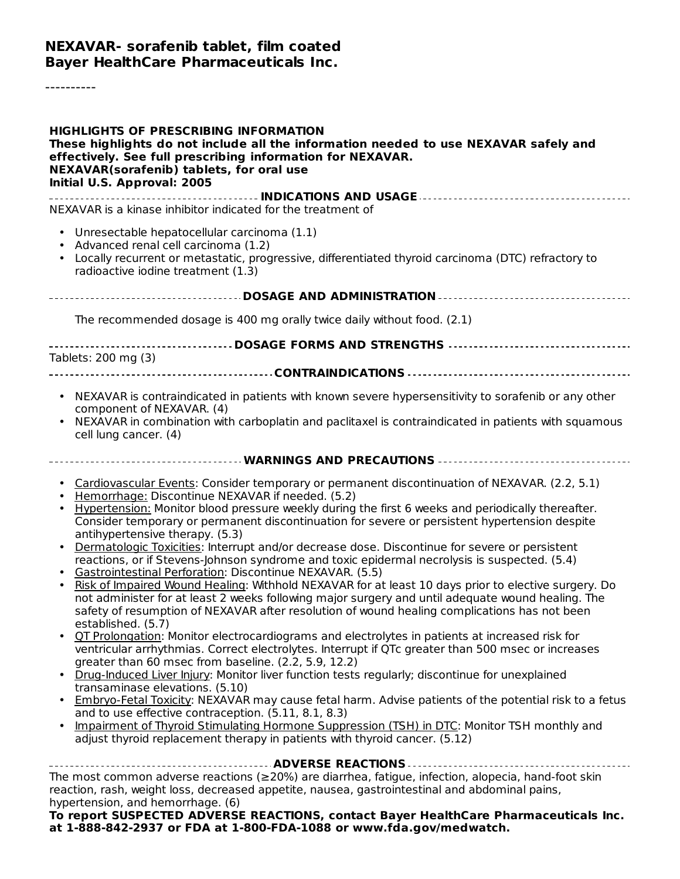### **NEXAVAR- sorafenib tablet, film coated Bayer HealthCare Pharmaceuticals Inc.**

----------

| <b>HIGHLIGHTS OF PRESCRIBING INFORMATION</b><br>These highlights do not include all the information needed to use NEXAVAR safely and<br>effectively. See full prescribing information for NEXAVAR.<br><b>NEXAVAR(sorafenib) tablets, for oral use</b><br>Initial U.S. Approval: 2005                                                                                                                                                                                                                                                                                                                                                                                                                                                                                                                                                                                                                                                                                                                                                                                                                                                                                                                                                                                                                                                                                                                                                                                                                                                                                                                                                                                                                                                                        |
|-------------------------------------------------------------------------------------------------------------------------------------------------------------------------------------------------------------------------------------------------------------------------------------------------------------------------------------------------------------------------------------------------------------------------------------------------------------------------------------------------------------------------------------------------------------------------------------------------------------------------------------------------------------------------------------------------------------------------------------------------------------------------------------------------------------------------------------------------------------------------------------------------------------------------------------------------------------------------------------------------------------------------------------------------------------------------------------------------------------------------------------------------------------------------------------------------------------------------------------------------------------------------------------------------------------------------------------------------------------------------------------------------------------------------------------------------------------------------------------------------------------------------------------------------------------------------------------------------------------------------------------------------------------------------------------------------------------------------------------------------------------|
| NEXAVAR is a kinase inhibitor indicated for the treatment of                                                                                                                                                                                                                                                                                                                                                                                                                                                                                                                                                                                                                                                                                                                                                                                                                                                                                                                                                                                                                                                                                                                                                                                                                                                                                                                                                                                                                                                                                                                                                                                                                                                                                                |
| Unresectable hepatocellular carcinoma (1.1)<br>Advanced renal cell carcinoma (1.2)<br>• Locally recurrent or metastatic, progressive, differentiated thyroid carcinoma (DTC) refractory to<br>radioactive iodine treatment (1.3)                                                                                                                                                                                                                                                                                                                                                                                                                                                                                                                                                                                                                                                                                                                                                                                                                                                                                                                                                                                                                                                                                                                                                                                                                                                                                                                                                                                                                                                                                                                            |
|                                                                                                                                                                                                                                                                                                                                                                                                                                                                                                                                                                                                                                                                                                                                                                                                                                                                                                                                                                                                                                                                                                                                                                                                                                                                                                                                                                                                                                                                                                                                                                                                                                                                                                                                                             |
| The recommended dosage is 400 mg orally twice daily without food. (2.1)                                                                                                                                                                                                                                                                                                                                                                                                                                                                                                                                                                                                                                                                                                                                                                                                                                                                                                                                                                                                                                                                                                                                                                                                                                                                                                                                                                                                                                                                                                                                                                                                                                                                                     |
| DOSAGE FORMS AND STRENGTHS                                                                                                                                                                                                                                                                                                                                                                                                                                                                                                                                                                                                                                                                                                                                                                                                                                                                                                                                                                                                                                                                                                                                                                                                                                                                                                                                                                                                                                                                                                                                                                                                                                                                                                                                  |
| Tablets: 200 mg (3)                                                                                                                                                                                                                                                                                                                                                                                                                                                                                                                                                                                                                                                                                                                                                                                                                                                                                                                                                                                                                                                                                                                                                                                                                                                                                                                                                                                                                                                                                                                                                                                                                                                                                                                                         |
|                                                                                                                                                                                                                                                                                                                                                                                                                                                                                                                                                                                                                                                                                                                                                                                                                                                                                                                                                                                                                                                                                                                                                                                                                                                                                                                                                                                                                                                                                                                                                                                                                                                                                                                                                             |
| • NEXAVAR is contraindicated in patients with known severe hypersensitivity to sorafenib or any other<br>component of NEXAVAR. (4)<br>NEXAVAR in combination with carboplatin and paclitaxel is contraindicated in patients with squamous<br>cell lung cancer. (4)                                                                                                                                                                                                                                                                                                                                                                                                                                                                                                                                                                                                                                                                                                                                                                                                                                                                                                                                                                                                                                                                                                                                                                                                                                                                                                                                                                                                                                                                                          |
|                                                                                                                                                                                                                                                                                                                                                                                                                                                                                                                                                                                                                                                                                                                                                                                                                                                                                                                                                                                                                                                                                                                                                                                                                                                                                                                                                                                                                                                                                                                                                                                                                                                                                                                                                             |
| Cardiovascular Events: Consider temporary or permanent discontinuation of NEXAVAR. (2.2, 5.1)<br>$\bullet$<br>Hemorrhage: Discontinue NEXAVAR if needed. (5.2)<br>Hypertension: Monitor blood pressure weekly during the first 6 weeks and periodically thereafter.<br>Consider temporary or permanent discontinuation for severe or persistent hypertension despite<br>antihypertensive therapy. (5.3)<br>Dermatologic Toxicities: Interrupt and/or decrease dose. Discontinue for severe or persistent<br>reactions, or if Stevens-Johnson syndrome and toxic epidermal necrolysis is suspected. (5.4)<br>Gastrointestinal Perforation: Discontinue NEXAVAR. (5.5)<br>Risk of Impaired Wound Healing: Withhold NEXAVAR for at least 10 days prior to elective surgery. Do<br>not administer for at least 2 weeks following major surgery and until adequate wound healing. The<br>safety of resumption of NEXAVAR after resolution of wound healing complications has not been<br>established. (5.7)<br>OT Prolongation: Monitor electrocardiograms and electrolytes in patients at increased risk for<br>ventricular arrhythmias. Correct electrolytes. Interrupt if QTc greater than 500 msec or increases<br>greater than 60 msec from baseline. (2.2, 5.9, 12.2)<br>• Drug-Induced Liver Injury: Monitor liver function tests regularly; discontinue for unexplained<br>transaminase elevations. (5.10)<br>Embryo-Fetal Toxicity: NEXAVAR may cause fetal harm. Advise patients of the potential risk to a fetus<br>and to use effective contraception. (5.11, 8.1, 8.3)<br>Impairment of Thyroid Stimulating Hormone Suppression (TSH) in DTC: Monitor TSH monthly and<br>adjust thyroid replacement therapy in patients with thyroid cancer. (5.12) |
| The most common adverse reactions (≥20%) are diarrhea, fatigue, infection, alopecia, hand-foot skin<br>reaction, rash, weight loss, decreased appetite, nausea, gastrointestinal and abdominal pains,<br>hypertension, and hemorrhage. (6)<br>To report SUSPECTED ADVERSE REACTIONS, contact Bayer HealthCare Pharmaceuticals Inc.                                                                                                                                                                                                                                                                                                                                                                                                                                                                                                                                                                                                                                                                                                                                                                                                                                                                                                                                                                                                                                                                                                                                                                                                                                                                                                                                                                                                                          |

**at 1-888-842-2937 or FDA at 1-800-FDA-1088 or www.fda.gov/medwatch.**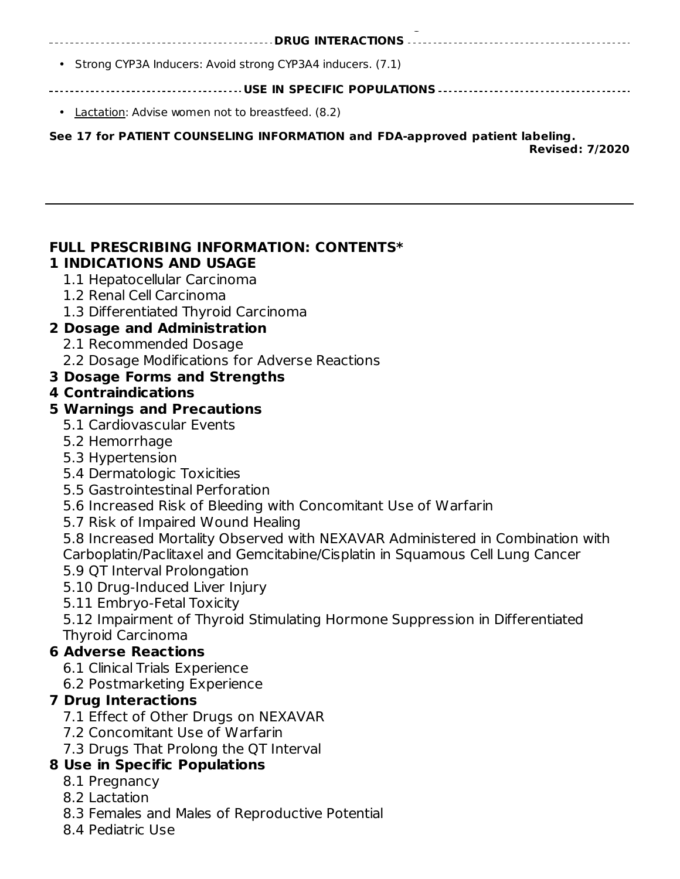**at 1-888-842-2937 or FDA at 1-800-FDA-1088 or www.fda.gov/medwatch. DRUG INTERACTIONS** • Strong CYP3A Inducers: Avoid strong CYP3A4 inducers. (7.1) **USE IN SPECIFIC POPULATIONS** • Lactation: Advise women not to breastfeed. (8.2)

**See 17 for PATIENT COUNSELING INFORMATION and FDA-approved patient labeling.**

**Revised: 7/2020**

#### **FULL PRESCRIBING INFORMATION: CONTENTS\* 1 INDICATIONS AND USAGE**

- 1.1 Hepatocellular Carcinoma
- 1.2 Renal Cell Carcinoma
- 1.3 Differentiated Thyroid Carcinoma

## **2 Dosage and Administration**

- 2.1 Recommended Dosage
- 2.2 Dosage Modifications for Adverse Reactions

# **3 Dosage Forms and Strengths**

## **4 Contraindications**

## **5 Warnings and Precautions**

- 5.1 Cardiovascular Events
- 5.2 Hemorrhage
- 5.3 Hypertension
- 5.4 Dermatologic Toxicities
- 5.5 Gastrointestinal Perforation
- 5.6 Increased Risk of Bleeding with Concomitant Use of Warfarin
- 5.7 Risk of Impaired Wound Healing

5.8 Increased Mortality Observed with NEXAVAR Administered in Combination with Carboplatin/Paclitaxel and Gemcitabine/Cisplatin in Squamous Cell Lung Cancer

- 5.9 QT Interval Prolongation
- 5.10 Drug-Induced Liver Injury
- 5.11 Embryo-Fetal Toxicity

5.12 Impairment of Thyroid Stimulating Hormone Suppression in Differentiated Thyroid Carcinoma

# **6 Adverse Reactions**

- 6.1 Clinical Trials Experience
- 6.2 Postmarketing Experience

# **7 Drug Interactions**

- 7.1 Effect of Other Drugs on NEXAVAR
- 7.2 Concomitant Use of Warfarin
- 7.3 Drugs That Prolong the QT Interval

# **8 Use in Specific Populations**

- 8.1 Pregnancy
- 8.2 Lactation
- 8.3 Females and Males of Reproductive Potential
- 8.4 Pediatric Use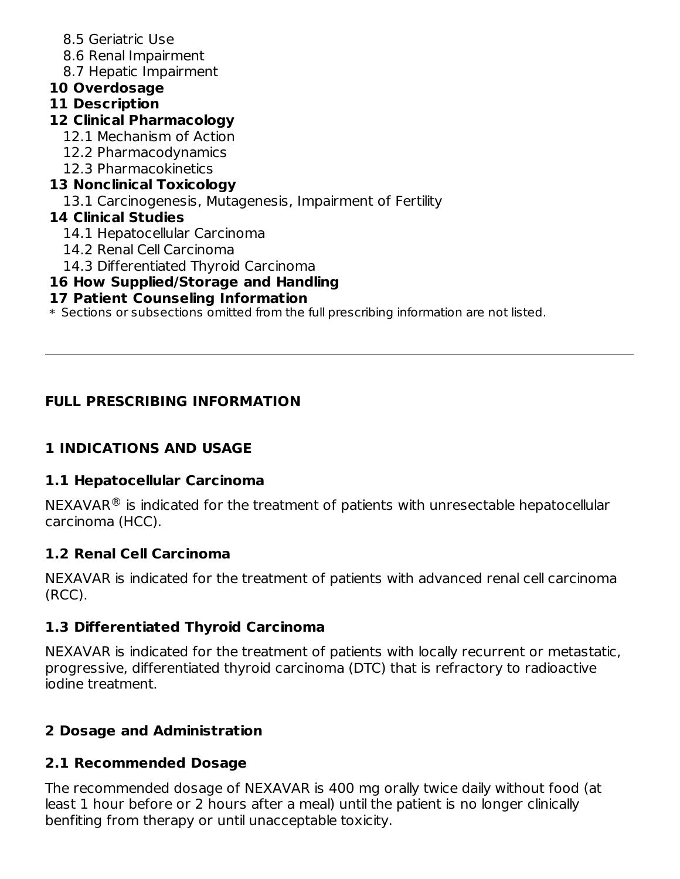- 8.5 Geriatric Use
- 8.6 Renal Impairment
- 8.7 Hepatic Impairment
- **10 Overdosage**
- **11 Description**
- **12 Clinical Pharmacology**
	- 12.1 Mechanism of Action
	- 12.2 Pharmacodynamics
	- 12.3 Pharmacokinetics

# **13 Nonclinical Toxicology**

13.1 Carcinogenesis, Mutagenesis, Impairment of Fertility

# **14 Clinical Studies**

- 14.1 Hepatocellular Carcinoma
- 14.2 Renal Cell Carcinoma
- 14.3 Differentiated Thyroid Carcinoma

# **16 How Supplied/Storage and Handling**

# **17 Patient Counseling Information**

\* Sections or subsections omitted from the full prescribing information are not listed.

# **FULL PRESCRIBING INFORMATION**

# **1 INDICATIONS AND USAGE**

# **1.1 Hepatocellular Carcinoma**

 $NEXAVAR^{\circledR}$  is indicated for the treatment of patients with unresectable hepatocellular carcinoma (HCC).

# **1.2 Renal Cell Carcinoma**

NEXAVAR is indicated for the treatment of patients with advanced renal cell carcinoma (RCC).

# **1.3 Differentiated Thyroid Carcinoma**

NEXAVAR is indicated for the treatment of patients with locally recurrent or metastatic, progressive, differentiated thyroid carcinoma (DTC) that is refractory to radioactive iodine treatment.

# **2 Dosage and Administration**

# **2.1 Recommended Dosage**

The recommended dosage of NEXAVAR is 400 mg orally twice daily without food (at least 1 hour before or 2 hours after a meal) until the patient is no longer clinically benfiting from therapy or until unacceptable toxicity.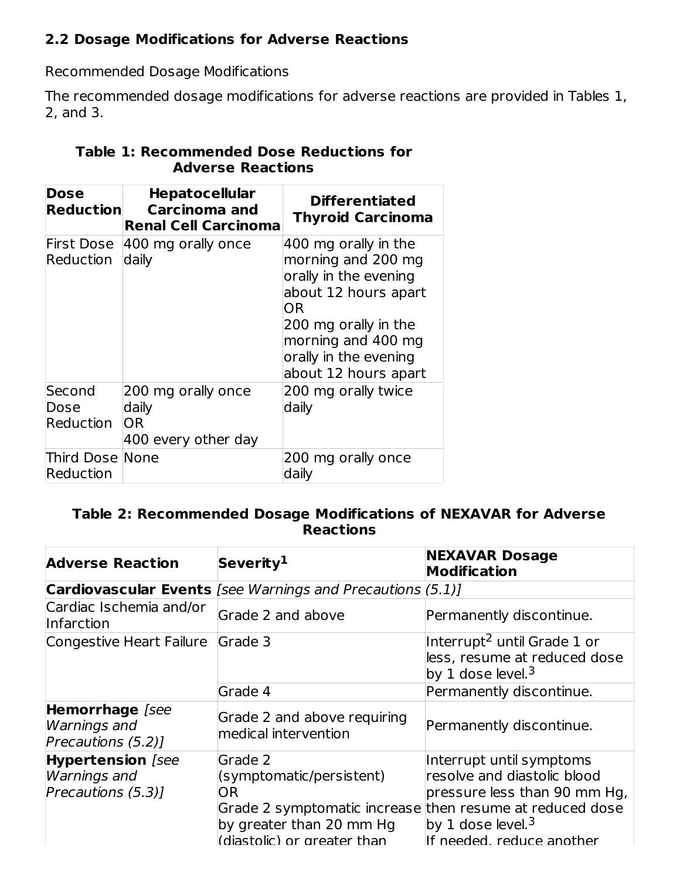## **2.2 Dosage Modifications for Adverse Reactions**

Recommended Dosage Modifications

The recommended dosage modifications for adverse reactions are provided in Tables 1, 2, and 3.

| Dose<br><b>Reduction</b>     | <b>Hepatocellular</b><br><b>Carcinoma and</b><br><b>Renal Cell Carcinoma</b> | <b>Differentiated</b><br><b>Thyroid Carcinoma</b>                                                                                                                                                |
|------------------------------|------------------------------------------------------------------------------|--------------------------------------------------------------------------------------------------------------------------------------------------------------------------------------------------|
| Reduction                    | First Dose 400 mg orally once<br>daily                                       | 400 mg orally in the<br>morning and 200 mg<br>orally in the evening<br>about 12 hours apart<br>OR<br>200 mg orally in the<br>morning and 400 mg<br>orally in the evening<br>about 12 hours apart |
| Second<br>Dose<br>Reduction  | 200 mg orally once<br>daily<br><b>OR</b><br>400 every other day              | 200 mg orally twice<br>daily                                                                                                                                                                     |
| Third Dose None<br>Reduction |                                                                              | 200 mg orally once<br>daily                                                                                                                                                                      |

## **Table 1: Recommended Dose Reductions for Adverse Reactions**

### **Table 2: Recommended Dosage Modifications of NEXAVAR for Adverse Reactions**

| <b>Adverse Reaction</b>                                               | Severity <sup>1</sup>                                                                                                                                             | <b>NEXAVAR Dosage</b><br><b>Modification</b>                                                                                                          |
|-----------------------------------------------------------------------|-------------------------------------------------------------------------------------------------------------------------------------------------------------------|-------------------------------------------------------------------------------------------------------------------------------------------------------|
|                                                                       | <b>Cardiovascular Events</b> [see Warnings and Precautions (5.1)]                                                                                                 |                                                                                                                                                       |
| Cardiac Ischemia and/or<br>Infarction                                 | Grade 2 and above                                                                                                                                                 | Permanently discontinue.                                                                                                                              |
| Congestive Heart Failure Grade 3                                      |                                                                                                                                                                   | Interrupt <sup>2</sup> until Grade 1 or<br>less, resume at reduced dose<br>by 1 dose level. <sup>3</sup>                                              |
|                                                                       | Grade 4                                                                                                                                                           | Permanently discontinue.                                                                                                                              |
| Hemorrhage [see<br><b>Warnings</b> and<br>Precautions (5.2)]          | Grade 2 and above requiring<br>medical intervention                                                                                                               | Permanently discontinue.                                                                                                                              |
| <b>Hypertension</b> [see<br><b>Warnings and</b><br>Precautions (5.3)] | Grade 2<br>(symptomatic/persistent)<br>OR.<br>Grade 2 symptomatic increase then resume at reduced dose<br>by greater than 20 mm Hg<br>(diastolic) or greater than | Interrupt until symptoms<br>resolve and diastolic blood<br>pressure less than 90 mm Hg,<br>by 1 dose level. <sup>3</sup><br>If needed. reduce another |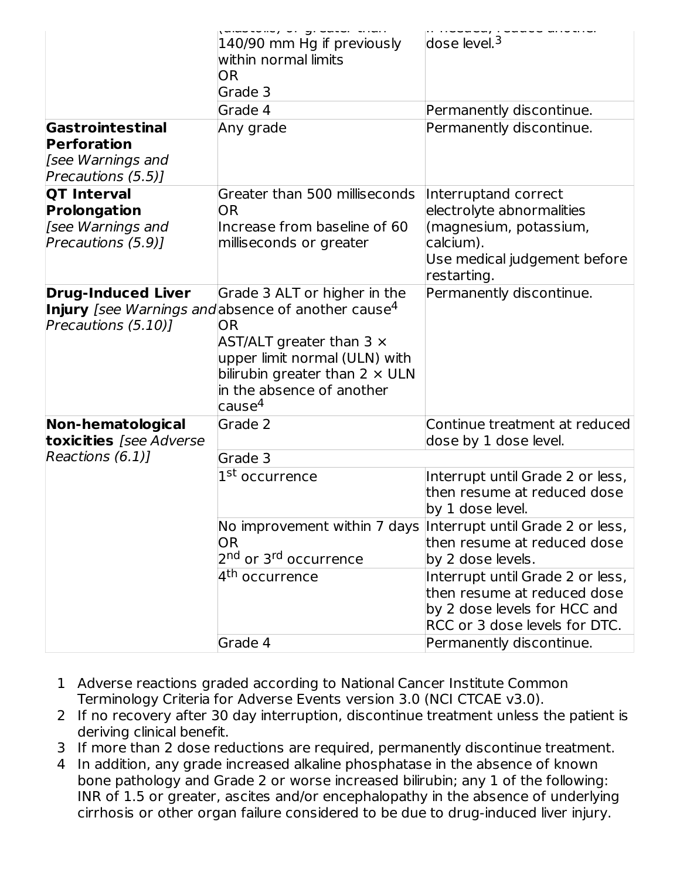|                                                                               | 140/90 mm Hg if previously<br>within normal limits<br><b>OR</b><br>Grade 3                                                                                                                                                                                                     | $dose$ level. <sup>3</sup>                                                                                                              |
|-------------------------------------------------------------------------------|--------------------------------------------------------------------------------------------------------------------------------------------------------------------------------------------------------------------------------------------------------------------------------|-----------------------------------------------------------------------------------------------------------------------------------------|
|                                                                               | Grade 4                                                                                                                                                                                                                                                                        | Permanently discontinue.                                                                                                                |
| Gastrointestinal<br>Perforation<br>[see Warnings and<br>Precautions (5.5)]    | Any grade                                                                                                                                                                                                                                                                      | Permanently discontinue.                                                                                                                |
| <b>QT Interval</b><br>Prolongation<br>[see Warnings and<br>Precautions (5.9)] | Greater than 500 milliseconds<br><b>OR</b><br>Increase from baseline of 60<br>milliseconds or greater                                                                                                                                                                          | Interruptand correct<br>electrolyte abnormalities<br>(magnesium, potassium,<br>calcium).<br>Use medical judgement before<br>restarting. |
| <b>Drug-Induced Liver</b><br>Precautions (5.10)]                              | Grade 3 ALT or higher in the<br><b>Injury</b> [see Warnings and absence of another cause <sup>4</sup><br>OR<br>AST/ALT greater than $3 \times$<br>upper limit normal (ULN) with<br>bilirubin greater than $2 \times$ ULN<br>in the absence of another<br>$\sqrt{2}$ cause $^4$ | Permanently discontinue.                                                                                                                |
| Non-hematological<br>toxicities [see Adverse                                  | Grade 2                                                                                                                                                                                                                                                                        | Continue treatment at reduced<br>dose by 1 dose level.                                                                                  |
| Reactions $(6.1)$ ]                                                           | Grade 3<br>1 <sup>st</sup> occurrence                                                                                                                                                                                                                                          | Interrupt until Grade 2 or less,<br>then resume at reduced dose<br>by 1 dose level.                                                     |
|                                                                               | <b>OR</b><br>2 <sup>nd</sup> or 3 <sup>rd</sup> occurrence                                                                                                                                                                                                                     | No improvement within 7 days Interrupt until Grade 2 or less,<br>then resume at reduced dose<br>by 2 dose levels.                       |
|                                                                               | 4 <sup>th</sup> occurrence                                                                                                                                                                                                                                                     | Interrupt until Grade 2 or less,<br>then resume at reduced dose<br>by 2 dose levels for HCC and<br>RCC or 3 dose levels for DTC.        |
|                                                                               | Grade 4                                                                                                                                                                                                                                                                        | Permanently discontinue.                                                                                                                |

- 1 Adverse reactions graded according to National Cancer Institute Common Terminology Criteria for Adverse Events version 3.0 (NCI CTCAE v3.0).
- 2 If no recovery after 30 day interruption, discontinue treatment unless the patient is deriving clinical benefit.
- 3 If more than 2 dose reductions are required, permanently discontinue treatment.
- 4 In addition, any grade increased alkaline phosphatase in the absence of known bone pathology and Grade 2 or worse increased bilirubin; any 1 of the following: INR of 1.5 or greater, ascites and/or encephalopathy in the absence of underlying cirrhosis or other organ failure considered to be due to drug-induced liver injury.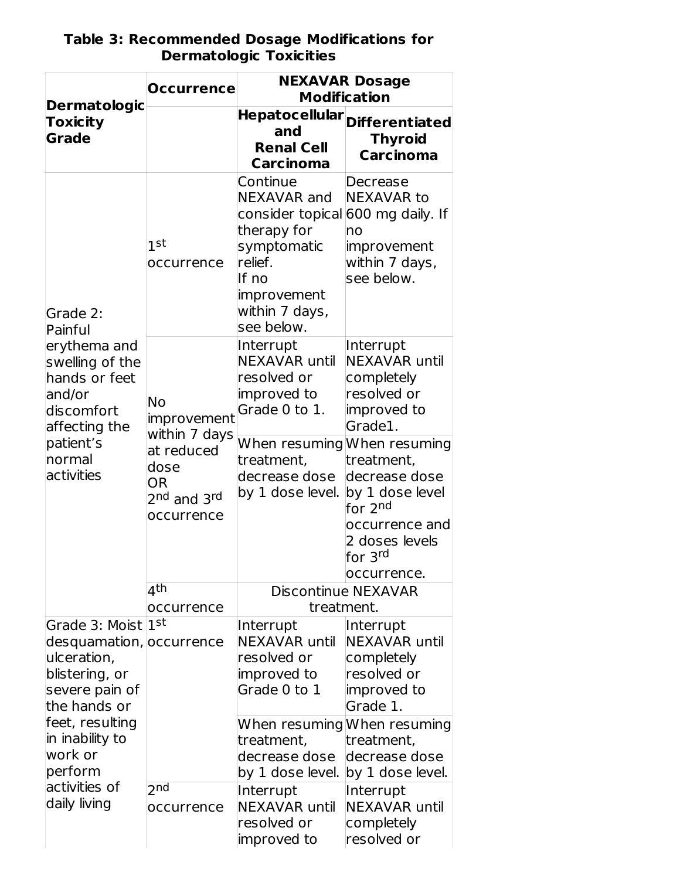| <b>Dermatologic</b>                                                                                                            | <b>Occurrence</b>                                                                    | <b>NEXAVAR Dosage</b><br><b>Modification</b>                                                                                                                  |                                                                                                                                          |  |
|--------------------------------------------------------------------------------------------------------------------------------|--------------------------------------------------------------------------------------|---------------------------------------------------------------------------------------------------------------------------------------------------------------|------------------------------------------------------------------------------------------------------------------------------------------|--|
| Toxicity<br><b>Grade</b>                                                                                                       |                                                                                      | <b>Hepatocellular</b><br>and<br><b>Renal Cell</b><br><b>Carcinoma</b>                                                                                         | <b>Differentiated</b><br><b>Thyroid</b><br><b>Carcinoma</b>                                                                              |  |
| Grade 2:<br>Painful                                                                                                            | 1st<br>occurrence                                                                    | Continue<br>NEXAVAR and<br>consider topical 600 mg daily. If<br>therapy for<br>symptomatic<br>relief.<br>If no<br>improvement<br>within 7 days,<br>see below. | Decrease<br><b>NEXAVAR to</b><br>no<br>improvement<br>within 7 days,<br>see below.                                                       |  |
| erythema and<br>swelling of the<br>hands or feet<br>and/or<br>discomfort<br>affecting the<br>patient's<br>normal<br>activities | <b>No</b><br>improvement<br>within 7 days                                            | Interrupt<br><b>NEXAVAR until</b><br>resolved or<br>improved to<br>Grade 0 to 1.                                                                              | Interrupt<br><b>NEXAVAR until</b><br>completely<br>resolved or<br>improved to<br>Grade1.                                                 |  |
|                                                                                                                                | at reduced<br>dose<br><b>OR</b><br>2 <sup>nd</sup> and 3 <sup>rd</sup><br>occurrence | treatment,<br>decrease dose<br>by 1 dose level.                                                                                                               | When resuming When resuming<br>treatment,<br>decrease dose<br>by 1 dose level<br>for 2 <sup>nd</sup><br>occurrence and<br>2 doses levels |  |
|                                                                                                                                | 4th                                                                                  |                                                                                                                                                               | for 3 <sup>rd</sup><br>occurrence.<br><b>Discontinue NEXAVAR</b>                                                                         |  |
|                                                                                                                                | occurrence                                                                           | treatment.                                                                                                                                                    |                                                                                                                                          |  |
| Grade 3: Moist 1st<br>desquamation, occurrence<br>ulceration,<br>blistering, or<br>severe pain of<br>the hands or              |                                                                                      | Interrupt<br><b>NEXAVAR until</b><br>resolved or<br>improved to<br>Grade 0 to 1                                                                               | Interrupt<br><b>NEXAVAR until</b><br>completely<br>resolved or<br>improved to<br>Grade 1.                                                |  |
| feet, resulting<br>in inability to<br>work or<br>perform                                                                       |                                                                                      | treatment,<br>decrease dose<br>by 1 dose level.                                                                                                               | When resuming When resuming<br>treatment,<br>decrease dose<br>by 1 dose level.                                                           |  |
| activities of<br>daily living                                                                                                  | $2n$ d<br>occurrence                                                                 | Interrupt<br><b>NEXAVAR until</b><br>resolved or<br>improved to                                                                                               | Interrupt<br><b>NEXAVAR until</b><br>completely<br>resolved or                                                                           |  |

#### **Table 3: Recommended Dosage Modifications for Dermatologic Toxicities**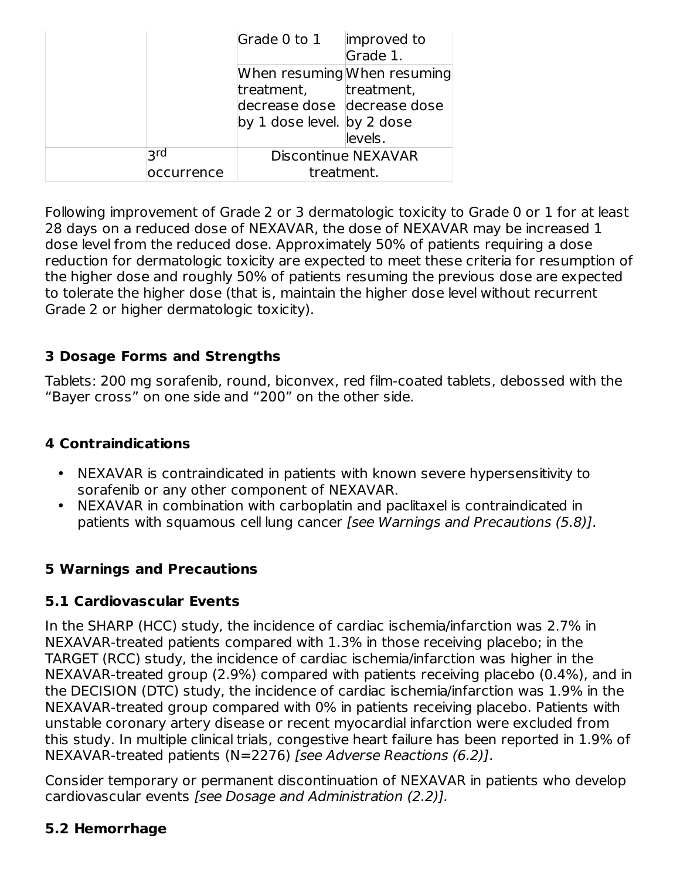|           | Grade 0 to 1<br>improved to |
|-----------|-----------------------------|
|           | Grade 1.                    |
|           | When resuming When resuming |
|           | treatment, treatment,       |
|           | decrease dose decrease dose |
|           | by 1 dose level. by 2 dose  |
|           | levels.                     |
| ا ج       | <b>Discontinue NEXAVAR</b>  |
| ccurrence | treatment.                  |

Following improvement of Grade 2 or 3 dermatologic toxicity to Grade 0 or 1 for at least 28 days on a reduced dose of NEXAVAR, the dose of NEXAVAR may be increased 1 dose level from the reduced dose. Approximately 50% of patients requiring a dose reduction for dermatologic toxicity are expected to meet these criteria for resumption of the higher dose and roughly 50% of patients resuming the previous dose are expected to tolerate the higher dose (that is, maintain the higher dose level without recurrent Grade 2 or higher dermatologic toxicity).

## **3 Dosage Forms and Strengths**

Tablets: 200 mg sorafenib, round, biconvex, red film-coated tablets, debossed with the "Bayer cross" on one side and "200" on the other side.

## **4 Contraindications**

- NEXAVAR is contraindicated in patients with known severe hypersensitivity to sorafenib or any other component of NEXAVAR.
- NEXAVAR in combination with carboplatin and paclitaxel is contraindicated in patients with squamous cell lung cancer [see Warnings and Precautions (5.8)].

# **5 Warnings and Precautions**

## **5.1 Cardiovascular Events**

In the SHARP (HCC) study, the incidence of cardiac ischemia/infarction was 2.7% in NEXAVAR-treated patients compared with 1.3% in those receiving placebo; in the TARGET (RCC) study, the incidence of cardiac ischemia/infarction was higher in the NEXAVAR-treated group (2.9%) compared with patients receiving placebo (0.4%), and in the DECISION (DTC) study, the incidence of cardiac ischemia/infarction was 1.9% in the NEXAVAR-treated group compared with 0% in patients receiving placebo. Patients with unstable coronary artery disease or recent myocardial infarction were excluded from this study. In multiple clinical trials, congestive heart failure has been reported in 1.9% of NEXAVAR-treated patients (N=2276) [see Adverse Reactions (6.2)].

Consider temporary or permanent discontinuation of NEXAVAR in patients who develop cardiovascular events [see Dosage and Administration (2.2)].

## **5.2 Hemorrhage**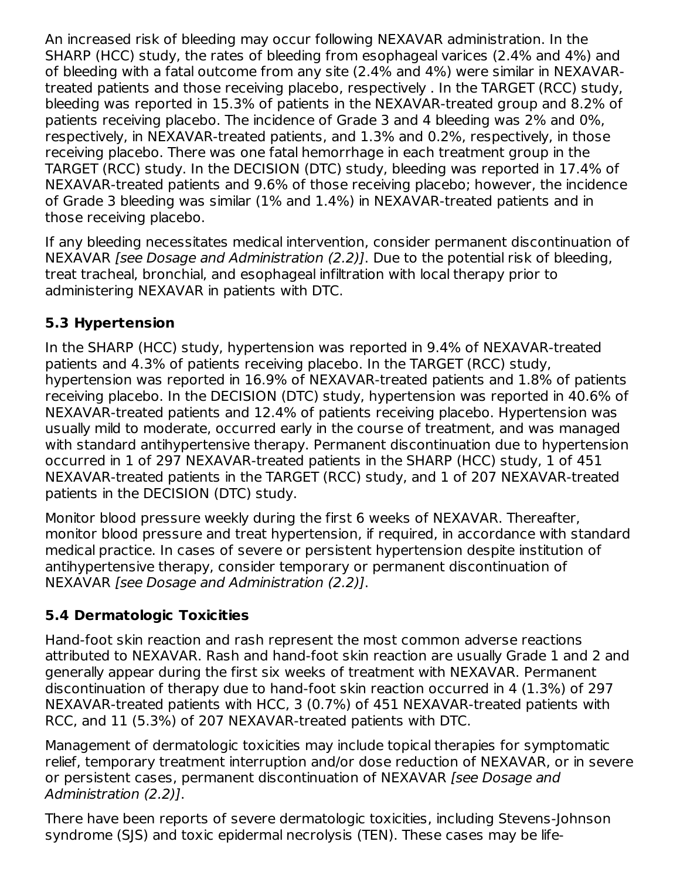An increased risk of bleeding may occur following NEXAVAR administration. In the SHARP (HCC) study, the rates of bleeding from esophageal varices (2.4% and 4%) and of bleeding with a fatal outcome from any site (2.4% and 4%) were similar in NEXAVARtreated patients and those receiving placebo, respectively . In the TARGET (RCC) study, bleeding was reported in 15.3% of patients in the NEXAVAR-treated group and 8.2% of patients receiving placebo. The incidence of Grade 3 and 4 bleeding was 2% and 0%, respectively, in NEXAVAR-treated patients, and 1.3% and 0.2%, respectively, in those receiving placebo. There was one fatal hemorrhage in each treatment group in the TARGET (RCC) study. In the DECISION (DTC) study, bleeding was reported in 17.4% of NEXAVAR-treated patients and 9.6% of those receiving placebo; however, the incidence of Grade 3 bleeding was similar (1% and 1.4%) in NEXAVAR-treated patients and in those receiving placebo.

If any bleeding necessitates medical intervention, consider permanent discontinuation of NEXAVAR [see Dosage and Administration (2.2)]. Due to the potential risk of bleeding, treat tracheal, bronchial, and esophageal infiltration with local therapy prior to administering NEXAVAR in patients with DTC.

# **5.3 Hypertension**

In the SHARP (HCC) study, hypertension was reported in 9.4% of NEXAVAR-treated patients and 4.3% of patients receiving placebo. In the TARGET (RCC) study, hypertension was reported in 16.9% of NEXAVAR-treated patients and 1.8% of patients receiving placebo. In the DECISION (DTC) study, hypertension was reported in 40.6% of NEXAVAR-treated patients and 12.4% of patients receiving placebo. Hypertension was usually mild to moderate, occurred early in the course of treatment, and was managed with standard antihypertensive therapy. Permanent discontinuation due to hypertension occurred in 1 of 297 NEXAVAR-treated patients in the SHARP (HCC) study, 1 of 451 NEXAVAR-treated patients in the TARGET (RCC) study, and 1 of 207 NEXAVAR-treated patients in the DECISION (DTC) study.

Monitor blood pressure weekly during the first 6 weeks of NEXAVAR. Thereafter, monitor blood pressure and treat hypertension, if required, in accordance with standard medical practice. In cases of severe or persistent hypertension despite institution of antihypertensive therapy, consider temporary or permanent discontinuation of NEXAVAR [see Dosage and Administration (2.2)].

# **5.4 Dermatologic Toxicities**

Hand-foot skin reaction and rash represent the most common adverse reactions attributed to NEXAVAR. Rash and hand-foot skin reaction are usually Grade 1 and 2 and generally appear during the first six weeks of treatment with NEXAVAR. Permanent discontinuation of therapy due to hand-foot skin reaction occurred in 4 (1.3%) of 297 NEXAVAR-treated patients with HCC, 3 (0.7%) of 451 NEXAVAR-treated patients with RCC, and 11 (5.3%) of 207 NEXAVAR-treated patients with DTC.

Management of dermatologic toxicities may include topical therapies for symptomatic relief, temporary treatment interruption and/or dose reduction of NEXAVAR, or in severe or persistent cases, permanent discontinuation of NEXAVAR [see Dosage and Administration (2.2)].

There have been reports of severe dermatologic toxicities, including Stevens-Johnson syndrome (SJS) and toxic epidermal necrolysis (TEN). These cases may be life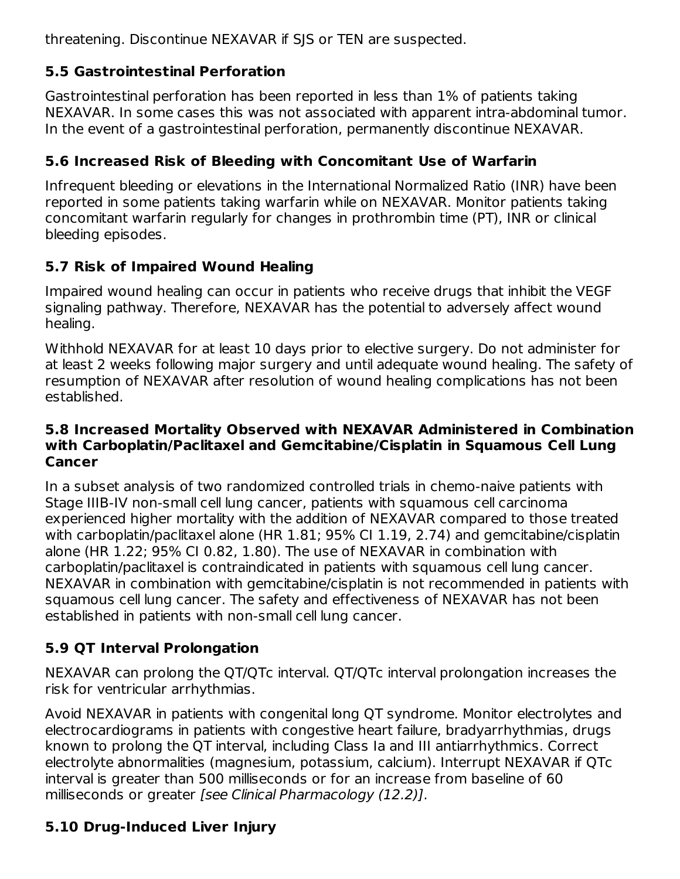threatening. Discontinue NEXAVAR if SJS or TEN are suspected.

# **5.5 Gastrointestinal Perforation**

Gastrointestinal perforation has been reported in less than 1% of patients taking NEXAVAR. In some cases this was not associated with apparent intra-abdominal tumor. In the event of a gastrointestinal perforation, permanently discontinue NEXAVAR.

# **5.6 Increased Risk of Bleeding with Concomitant Use of Warfarin**

Infrequent bleeding or elevations in the International Normalized Ratio (INR) have been reported in some patients taking warfarin while on NEXAVAR. Monitor patients taking concomitant warfarin regularly for changes in prothrombin time (PT), INR or clinical bleeding episodes.

## **5.7 Risk of Impaired Wound Healing**

Impaired wound healing can occur in patients who receive drugs that inhibit the VEGF signaling pathway. Therefore, NEXAVAR has the potential to adversely affect wound healing.

Withhold NEXAVAR for at least 10 days prior to elective surgery. Do not administer for at least 2 weeks following major surgery and until adequate wound healing. The safety of resumption of NEXAVAR after resolution of wound healing complications has not been established.

#### **5.8 Increased Mortality Observed with NEXAVAR Administered in Combination with Carboplatin/Paclitaxel and Gemcitabine/Cisplatin in Squamous Cell Lung Cancer**

In a subset analysis of two randomized controlled trials in chemo-naive patients with Stage IIIB-IV non-small cell lung cancer, patients with squamous cell carcinoma experienced higher mortality with the addition of NEXAVAR compared to those treated with carboplatin/paclitaxel alone (HR 1.81; 95% CI 1.19, 2.74) and gemcitabine/cisplatin alone (HR 1.22; 95% CI 0.82, 1.80). The use of NEXAVAR in combination with carboplatin/paclitaxel is contraindicated in patients with squamous cell lung cancer. NEXAVAR in combination with gemcitabine/cisplatin is not recommended in patients with squamous cell lung cancer. The safety and effectiveness of NEXAVAR has not been established in patients with non-small cell lung cancer.

# **5.9 QT Interval Prolongation**

NEXAVAR can prolong the QT/QTc interval. QT/QTc interval prolongation increases the risk for ventricular arrhythmias.

Avoid NEXAVAR in patients with congenital long QT syndrome. Monitor electrolytes and electrocardiograms in patients with congestive heart failure, bradyarrhythmias, drugs known to prolong the QT interval, including Class Ia and III antiarrhythmics. Correct electrolyte abnormalities (magnesium, potassium, calcium). Interrupt NEXAVAR if QTc interval is greater than 500 milliseconds or for an increase from baseline of 60 milliseconds or greater [see Clinical Pharmacology (12.2)].

# **5.10 Drug-Induced Liver Injury**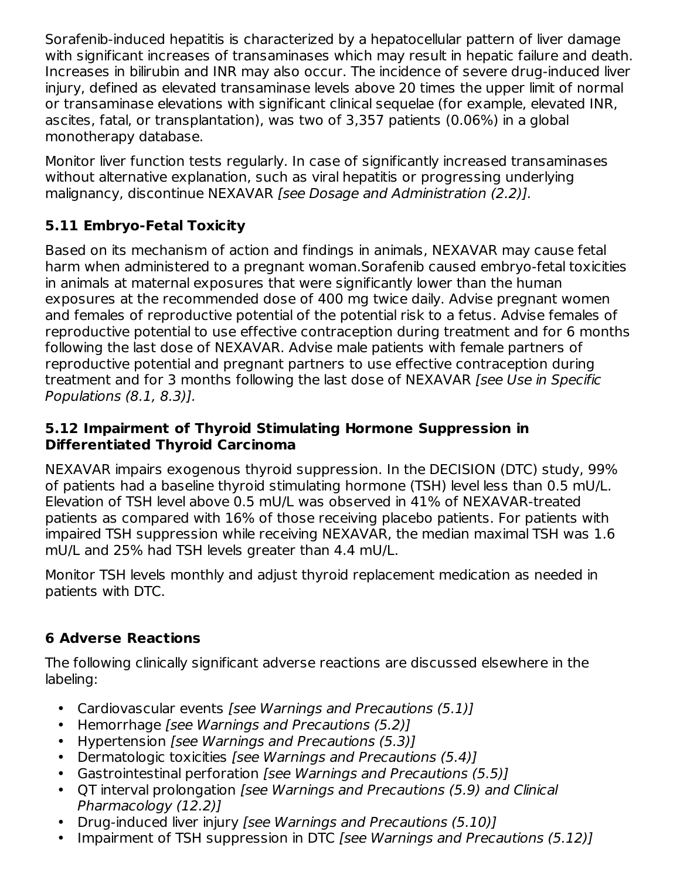Sorafenib-induced hepatitis is characterized by a hepatocellular pattern of liver damage with significant increases of transaminases which may result in hepatic failure and death. Increases in bilirubin and INR may also occur. The incidence of severe drug-induced liver injury, defined as elevated transaminase levels above 20 times the upper limit of normal or transaminase elevations with significant clinical sequelae (for example, elevated INR, ascites, fatal, or transplantation), was two of 3,357 patients (0.06%) in a global monotherapy database.

Monitor liver function tests regularly. In case of significantly increased transaminases without alternative explanation, such as viral hepatitis or progressing underlying malignancy, discontinue NEXAVAR [see Dosage and Administration (2.2)].

# **5.11 Embryo-Fetal Toxicity**

Based on its mechanism of action and findings in animals, NEXAVAR may cause fetal harm when administered to a pregnant woman.Sorafenib caused embryo-fetal toxicities in animals at maternal exposures that were significantly lower than the human exposures at the recommended dose of 400 mg twice daily. Advise pregnant women and females of reproductive potential of the potential risk to a fetus. Advise females of reproductive potential to use effective contraception during treatment and for 6 months following the last dose of NEXAVAR. Advise male patients with female partners of reproductive potential and pregnant partners to use effective contraception during treatment and for 3 months following the last dose of NEXAVAR *[see Use in Specific* Populations (8.1, 8.3)].

#### **5.12 Impairment of Thyroid Stimulating Hormone Suppression in Differentiated Thyroid Carcinoma**

NEXAVAR impairs exogenous thyroid suppression. In the DECISION (DTC) study, 99% of patients had a baseline thyroid stimulating hormone (TSH) level less than 0.5 mU/L. Elevation of TSH level above 0.5 mU/L was observed in 41% of NEXAVAR-treated patients as compared with 16% of those receiving placebo patients. For patients with impaired TSH suppression while receiving NEXAVAR, the median maximal TSH was 1.6 mU/L and 25% had TSH levels greater than 4.4 mU/L.

Monitor TSH levels monthly and adjust thyroid replacement medication as needed in patients with DTC.

# **6 Adverse Reactions**

The following clinically significant adverse reactions are discussed elsewhere in the labeling:

- Cardiovascular events [see Warnings and Precautions (5.1)]
- Hemorrhage [see Warnings and Precautions (5.2)]
- Hypertension [see Warnings and Precautions (5.3)]
- Dermatologic toxicities [see Warnings and Precautions (5.4)]
- Gastrointestinal perforation [see Warnings and Precautions (5.5)]
- QT interval prolongation [see Warnings and Precautions (5.9) and Clinical Pharmacology (12.2)]
- Drug-induced liver injury [see Warnings and Precautions (5.10)]
- Impairment of TSH suppression in DTC [see Warnings and Precautions (5.12)]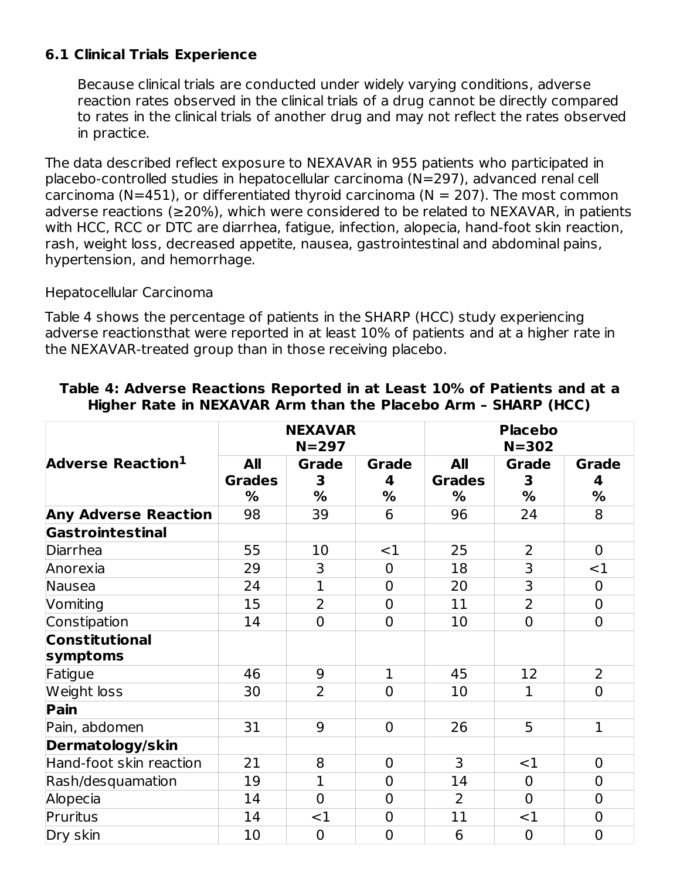## **6.1 Clinical Trials Experience**

Because clinical trials are conducted under widely varying conditions, adverse reaction rates observed in the clinical trials of a drug cannot be directly compared to rates in the clinical trials of another drug and may not reflect the rates observed in practice.

The data described reflect exposure to NEXAVAR in 955 patients who participated in placebo-controlled studies in hepatocellular carcinoma (N=297), advanced renal cell carcinoma (N=451), or differentiated thyroid carcinoma (N = 207). The most common adverse reactions (≥20%), which were considered to be related to NEXAVAR, in patients with HCC, RCC or DTC are diarrhea, fatigue, infection, alopecia, hand-foot skin reaction, rash, weight loss, decreased appetite, nausea, gastrointestinal and abdominal pains, hypertension, and hemorrhage.

#### Hepatocellular Carcinoma

Table 4 shows the percentage of patients in the SHARP (HCC) study experiencing adverse reactionsthat were reported in at least 10% of patients and at a higher rate in the NEXAVAR-treated group than in those receiving placebo.

|                               | <b>NEXAVAR</b><br>$N = 297$ |                   |                   | <b>Placebo</b><br>$N = 302$ |                |                   |  |
|-------------------------------|-----------------------------|-------------------|-------------------|-----------------------------|----------------|-------------------|--|
| Adverse Reaction <sup>1</sup> | All<br><b>Grades</b>        | <b>Grade</b><br>3 | <b>Grade</b><br>4 | All<br><b>Grades</b>        | Grade<br>3     | <b>Grade</b><br>4 |  |
| <b>Any Adverse Reaction</b>   | ℅<br>98                     | %<br>39           | %<br>6            | %<br>96                     | %<br>24        | %<br>8            |  |
| <b>Gastrointestinal</b>       |                             |                   |                   |                             |                |                   |  |
| Diarrhea                      | 55                          | 10                | <1                | 25                          | 2              | $\overline{0}$    |  |
| Anorexia                      | 29                          | 3                 | $\mathbf 0$       | 18                          | 3              | $<$ 1             |  |
| Nausea                        | 24                          | $\mathbf{1}$      | $\overline{0}$    | 20                          | $\overline{3}$ | $\mathbf 0$       |  |
| Vomiting                      | 15                          | $\overline{2}$    | $\overline{0}$    | 11                          | $\overline{2}$ | $\mathbf 0$       |  |
| Constipation                  | 14                          | $\overline{0}$    | $\overline{0}$    | 10                          | $\overline{0}$ | $\overline{0}$    |  |
| <b>Constitutional</b>         |                             |                   |                   |                             |                |                   |  |
| symptoms                      |                             |                   |                   |                             |                |                   |  |
| Fatigue                       | 46                          | 9                 | $\mathbf{1}$      | 45                          | 12             | $\overline{2}$    |  |
| Weight loss                   | 30                          | $\overline{2}$    | $\mathbf 0$       | 10                          | $\mathbf 1$    | $\overline{0}$    |  |
| Pain                          |                             |                   |                   |                             |                |                   |  |
| Pain, abdomen                 | 31                          | 9                 | $\mathbf 0$       | 26                          | 5              | $\mathbf{1}$      |  |
| <b>Dermatology/skin</b>       |                             |                   |                   |                             |                |                   |  |
| Hand-foot skin reaction       | 21                          | 8                 | $\mathbf 0$       | 3                           | <1             | $\mathbf 0$       |  |
| Rash/desquamation             | 19                          | $\mathbf{1}$      | $\overline{0}$    | 14                          | $\overline{0}$ | $\mathbf 0$       |  |
| Alopecia                      | 14                          | $\overline{0}$    | $\overline{0}$    | $\overline{2}$              | $\overline{0}$ | $\mathbf 0$       |  |
| Pruritus                      | 14                          | $<$ 1             | $\mathbf 0$       | 11                          | <1             | $\mathbf 0$       |  |
| Dry skin                      | 10                          | $\overline{0}$    | $\overline{0}$    | 6                           | $\overline{0}$ | $\overline{0}$    |  |

#### **Table 4: Adverse Reactions Reported in at Least 10% of Patients and at a Higher Rate in NEXAVAR Arm than the Placebo Arm – SHARP (HCC)**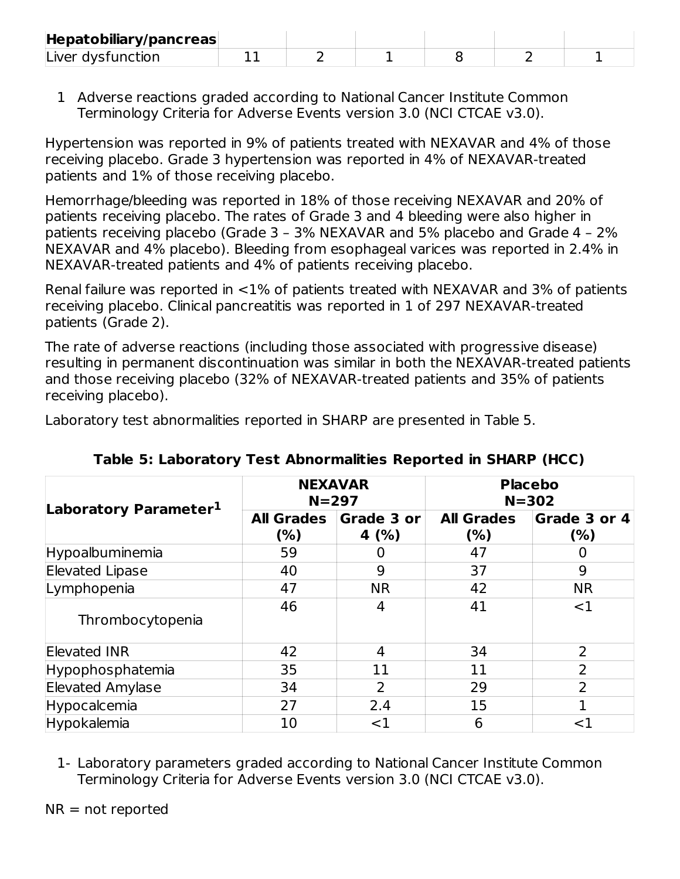| Hepatobiliary/pancreas |  |  |  |
|------------------------|--|--|--|
| Liver dysfunction      |  |  |  |

1 Adverse reactions graded according to National Cancer Institute Common Terminology Criteria for Adverse Events version 3.0 (NCI CTCAE v3.0).

Hypertension was reported in 9% of patients treated with NEXAVAR and 4% of those receiving placebo. Grade 3 hypertension was reported in 4% of NEXAVAR-treated patients and 1% of those receiving placebo.

Hemorrhage/bleeding was reported in 18% of those receiving NEXAVAR and 20% of patients receiving placebo. The rates of Grade 3 and 4 bleeding were also higher in patients receiving placebo (Grade 3 – 3% NEXAVAR and 5% placebo and Grade 4 – 2% NEXAVAR and 4% placebo). Bleeding from esophageal varices was reported in 2.4% in NEXAVAR-treated patients and 4% of patients receiving placebo.

Renal failure was reported in <1% of patients treated with NEXAVAR and 3% of patients receiving placebo. Clinical pancreatitis was reported in 1 of 297 NEXAVAR-treated patients (Grade 2).

The rate of adverse reactions (including those associated with progressive disease) resulting in permanent discontinuation was similar in both the NEXAVAR-treated patients and those receiving placebo (32% of NEXAVAR-treated patients and 35% of patients receiving placebo).

Laboratory test abnormalities reported in SHARP are presented in Table 5.

|                                   |                          | <b>NEXAVAR</b><br>$N = 297$ | <b>Placebo</b><br>$N = 302$ |                     |  |
|-----------------------------------|--------------------------|-----------------------------|-----------------------------|---------------------|--|
| Laboratory Parameter <sup>1</sup> | <b>All Grades</b><br>(%) | Grade 3 or<br>4 $(% )$      | <b>All Grades</b><br>(% )   | Grade 3 or 4<br>(%) |  |
| Hypoalbuminemia                   | 59                       |                             | 47                          |                     |  |
| <b>Elevated Lipase</b>            | 40                       | 9                           | 37                          | 9                   |  |
| Lymphopenia                       | 47                       | <b>NR</b>                   | 42                          | <b>NR</b>           |  |
| Thrombocytopenia                  | 46                       | 4                           | 41                          | $<$ 1               |  |
| <b>Elevated INR</b>               | 42                       | 4                           | 34                          | 2                   |  |
| Hypophosphatemia                  | 35                       | 11                          | 11                          | $\overline{2}$      |  |
| <b>Elevated Amylase</b>           | 34                       | 2                           | 29                          | $\overline{2}$      |  |
| Hypocalcemia                      | 27                       | 2.4                         | 15                          | 1                   |  |
| Hypokalemia                       | 10                       | $<$ 1                       | 6                           | ${<}1$              |  |

**Table 5: Laboratory Test Abnormalities Reported in SHARP (HCC)**

1- Laboratory parameters graded according to National Cancer Institute Common Terminology Criteria for Adverse Events version 3.0 (NCI CTCAE v3.0).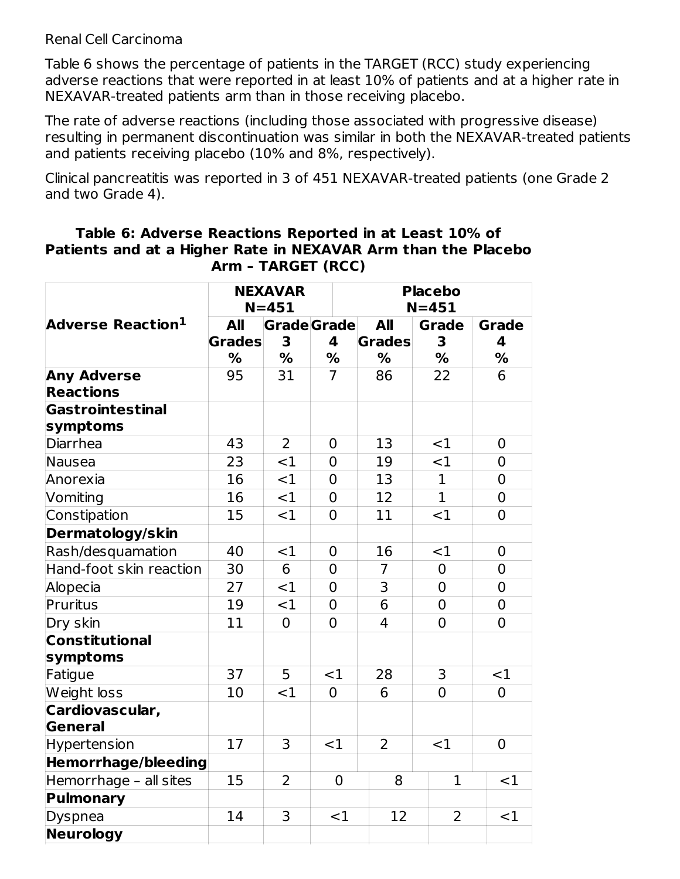#### Renal Cell Carcinoma

Table 6 shows the percentage of patients in the TARGET (RCC) study experiencing adverse reactions that were reported in at least 10% of patients and at a higher rate in NEXAVAR-treated patients arm than in those receiving placebo.

The rate of adverse reactions (including those associated with progressive disease) resulting in permanent discontinuation was similar in both the NEXAVAR-treated patients and patients receiving placebo (10% and 8%, respectively).

Clinical pancreatitis was reported in 3 of 451 NEXAVAR-treated patients (one Grade 2 and two Grade 4).

#### **Table 6: Adverse Reactions Reported in at Least 10% of Patients and at a Higher Rate in NEXAVAR Arm than the Placebo Arm – TARGET (RCC)**

|                                        | <b>NEXAVAR</b><br>$N = 451$ |                    |                | <b>Placebo</b><br>$N = 451$ |                |                |  |
|----------------------------------------|-----------------------------|--------------------|----------------|-----------------------------|----------------|----------------|--|
| Adverse Reaction <sup>1</sup>          | <b>All</b>                  | <b>Grade</b> Grade |                | <b>All</b>                  | <b>Grade</b>   | <b>Grade</b>   |  |
|                                        | <b>Grades</b>               | 3                  | 4              | <b>Grades</b>               | 3              | 4              |  |
|                                        | %                           | %                  | %              | $\frac{0}{0}$               | %              | %              |  |
| <b>Any Adverse</b><br><b>Reactions</b> | 95                          | 31                 | $\overline{7}$ | 86                          | 22             | 6              |  |
| Gastrointestinal<br>symptoms           |                             |                    |                |                             |                |                |  |
| Diarrhea                               | 43                          | $\overline{2}$     | $\overline{0}$ | 13                          | $\leq$ 1       | $\mathbf 0$    |  |
| Nausea                                 | 23                          | $<$ 1              | $\overline{0}$ | 19                          | $<$ 1          | $\mathbf 0$    |  |
| Anorexia                               | 16                          | <1                 | $\mathbf 0$    | 13                          | $\mathbf{1}$   | $\mathbf 0$    |  |
| Vomiting                               | 16                          | <1                 | $\overline{0}$ | 12                          | $\mathbf{1}$   | $\mathbf 0$    |  |
| Constipation                           | 15                          | $<$ 1              | $\overline{0}$ | 11                          | <1             | $\mathbf 0$    |  |
| Dermatology/skin                       |                             |                    |                |                             |                |                |  |
| Rash/desquamation                      | 40                          | <1                 | $\overline{0}$ | 16                          | $<$ 1          | $\mathbf 0$    |  |
| Hand-foot skin reaction                | 30                          | 6                  | $\overline{0}$ | $\overline{7}$              | $\overline{0}$ | $\mathbf 0$    |  |
| Alopecia                               | 27                          | <1                 | $\overline{0}$ | $\overline{3}$              | $\overline{0}$ | $\overline{0}$ |  |
| Pruritus                               | 19                          | $<$ 1              | $\overline{0}$ | 6                           | $\overline{0}$ | $\mathbf 0$    |  |
| Dry skin                               | 11                          | $\overline{0}$     | $\overline{0}$ | $\overline{4}$              | $\overline{0}$ | $\overline{0}$ |  |
| <b>Constitutional</b><br>symptoms      |                             |                    |                |                             |                |                |  |
| Fatigue                                | 37                          | 5                  | <1             | 28                          | 3              | <1             |  |
| Weight loss                            | 10                          | <1                 | $\overline{0}$ | 6                           | $\overline{0}$ | $\overline{0}$ |  |
| Cardiovascular,<br>General             |                             |                    |                |                             |                |                |  |
| Hypertension                           | 17                          | $\overline{3}$     | <1             | $\overline{2}$              | $\leq$ 1       | $\mathbf 0$    |  |
| <b>Hemorrhage/bleeding</b>             |                             |                    |                |                             |                |                |  |
| Hemorrhage - all sites                 | 15                          | $\overline{2}$     | 0              | 8                           | $\mathbf 1$    | <1             |  |
| <b>Pulmonary</b>                       |                             |                    |                |                             |                |                |  |
| Dyspnea                                | 14                          | 3                  | $<$ 1          | 12                          | 2              | <1             |  |
| <b>Neurology</b>                       |                             |                    |                |                             |                |                |  |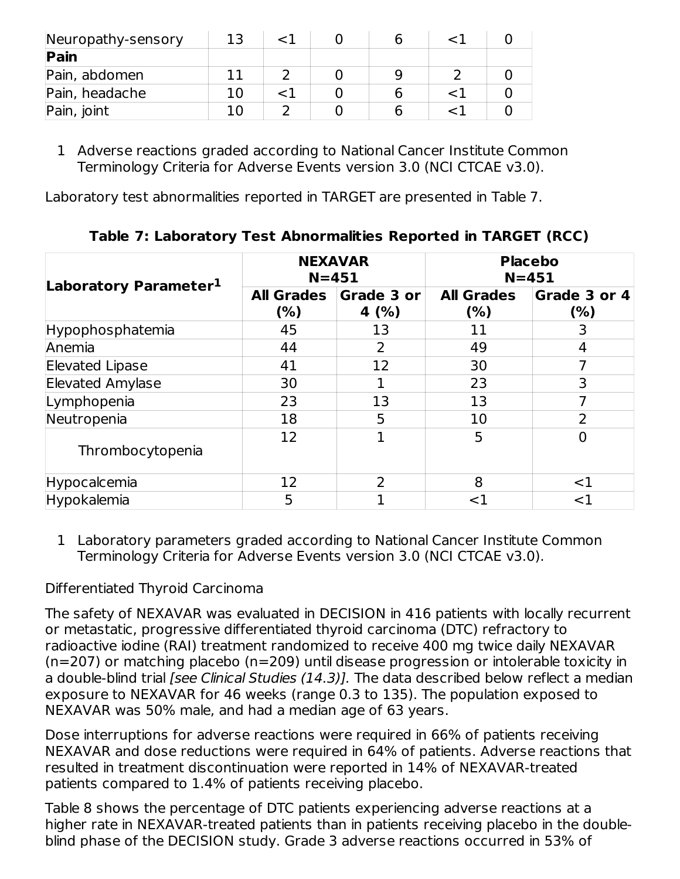| Neuropathy-sensory |  |  |  |
|--------------------|--|--|--|
| Pain               |  |  |  |
| Pain, abdomen      |  |  |  |
| Pain, headache     |  |  |  |
| Pain, joint        |  |  |  |

1 Adverse reactions graded according to National Cancer Institute Common Terminology Criteria for Adverse Events version 3.0 (NCI CTCAE v3.0).

Laboratory test abnormalities reported in TARGET are presented in Table 7.

|                                   |                           | <b>NEXAVAR</b><br>$N = 451$ | <b>Placebo</b><br>$N = 451$ |                     |  |
|-----------------------------------|---------------------------|-----------------------------|-----------------------------|---------------------|--|
| Laboratory Parameter <sup>1</sup> | <b>All Grades</b><br>(% ) | Grade 3 or<br>4 $(%)$       | <b>All Grades</b><br>(% )   | Grade 3 or 4<br>(%) |  |
| Hypophosphatemia                  | 45                        | 13                          | 11                          | 3                   |  |
| Anemia                            | 44                        | 2                           | 49                          | 4                   |  |
| <b>Elevated Lipase</b>            | 41                        | 12                          | 30                          |                     |  |
| <b>Elevated Amylase</b>           | 30                        | 1                           | 23                          | 3                   |  |
| Lymphopenia                       | 23                        | 13                          | 13                          |                     |  |
| Neutropenia                       | 18                        | 5                           | 10                          | フ                   |  |
| Thrombocytopenia                  | 12                        | 1                           | 5                           | 0                   |  |
| Hypocalcemia                      | 12                        | $\overline{2}$              | 8                           | $<$ 1               |  |
| Hypokalemia                       | 5                         |                             | ${<}1$                      | ${<}1$              |  |

**Table 7: Laboratory Test Abnormalities Reported in TARGET (RCC)**

1 Laboratory parameters graded according to National Cancer Institute Common Terminology Criteria for Adverse Events version 3.0 (NCI CTCAE v3.0).

## Differentiated Thyroid Carcinoma

The safety of NEXAVAR was evaluated in DECISION in 416 patients with locally recurrent or metastatic, progressive differentiated thyroid carcinoma (DTC) refractory to radioactive iodine (RAI) treatment randomized to receive 400 mg twice daily NEXAVAR (n=207) or matching placebo (n=209) until disease progression or intolerable toxicity in a double-blind trial *[see Clinical Studies (14.3)]*. The data described below reflect a median exposure to NEXAVAR for 46 weeks (range 0.3 to 135). The population exposed to NEXAVAR was 50% male, and had a median age of 63 years.

Dose interruptions for adverse reactions were required in 66% of patients receiving NEXAVAR and dose reductions were required in 64% of patients. Adverse reactions that resulted in treatment discontinuation were reported in 14% of NEXAVAR-treated patients compared to 1.4% of patients receiving placebo.

Table 8 shows the percentage of DTC patients experiencing adverse reactions at a higher rate in NEXAVAR-treated patients than in patients receiving placebo in the doubleblind phase of the DECISION study. Grade 3 adverse reactions occurred in 53% of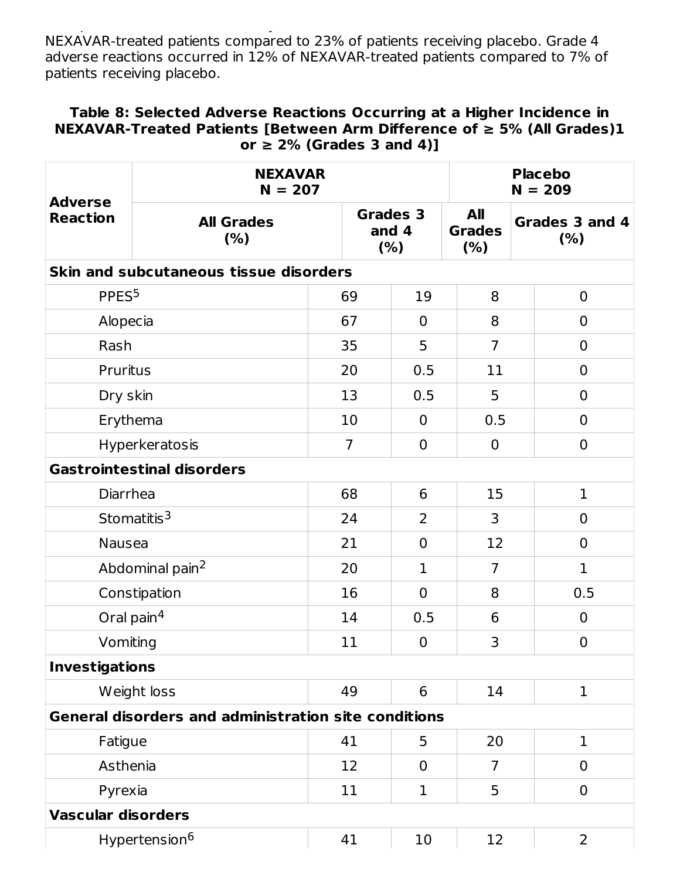blind phase of the DECISION study. Grade 3 adverse reactions occurred in 53% of NEXAVAR-treated patients compared to 23% of patients receiving placebo. Grade 4 adverse reactions occurred in 12% of NEXAVAR-treated patients compared to 7% of patients receiving placebo.

#### **Table 8: Selected Adverse Reactions Occurring at a Higher Incidence in NEXAVAR-Treated Patients [Between Arm Difference of ≥ 5% (All Grades)1 or ≥ 2% (Grades 3 and 4)]**

| <b>Adverse</b>                                              | <b>NEXAVAR</b><br>$N = 207$            |    |                                 | <b>Placebo</b><br>$N = 209$  |                       |  |
|-------------------------------------------------------------|----------------------------------------|----|---------------------------------|------------------------------|-----------------------|--|
| <b>Reaction</b>                                             | <b>All Grades</b><br>(% )              |    | <b>Grades 3</b><br>and 4<br>(%) | All<br><b>Grades</b><br>(% ) | Grades 3 and 4<br>(%) |  |
|                                                             | Skin and subcutaneous tissue disorders |    |                                 |                              |                       |  |
| PPES <sup>5</sup>                                           |                                        | 69 | 19                              | 8                            | $\overline{0}$        |  |
| Alopecia                                                    |                                        | 67 | $\mathbf 0$                     | 8                            | $\overline{0}$        |  |
| Rash                                                        |                                        | 35 | 5                               | $\overline{7}$               | $\mathbf 0$           |  |
| Pruritus                                                    |                                        | 20 | 0.5                             | 11                           | $\mathbf 0$           |  |
| Dry skin                                                    |                                        | 13 | 0.5                             | 5                            | $\mathbf 0$           |  |
|                                                             | Erythema                               | 10 | $\overline{0}$                  | 0.5                          | $\overline{0}$        |  |
|                                                             | Hyperkeratosis                         | 7  | $\mathbf 0$                     | $\overline{0}$               | $\mathbf 0$           |  |
|                                                             | <b>Gastrointestinal disorders</b>      |    |                                 |                              |                       |  |
| Diarrhea                                                    |                                        | 68 | 6                               | 15                           | $\mathbf{1}$          |  |
|                                                             | Stomatitis $3$                         | 24 | $\overline{2}$                  | 3                            | $\overline{0}$        |  |
| Nausea                                                      |                                        | 21 | $\mathbf 0$                     | 12                           | $\mathbf 0$           |  |
|                                                             | Abdominal pain <sup>2</sup>            | 20 | $\mathbf{1}$                    | $\overline{7}$               | $\mathbf{1}$          |  |
|                                                             | Constipation                           | 16 | $\mathbf 0$                     | 8                            | 0.5                   |  |
|                                                             | Oral pain <sup>4</sup>                 | 14 | 0.5                             | 6                            | $\overline{0}$        |  |
| Vomiting                                                    |                                        | 11 | $\mathbf 0$                     | 3                            | $\overline{0}$        |  |
| <b>Investigations</b>                                       |                                        |    |                                 |                              |                       |  |
|                                                             | Weight loss                            | 49 | 6                               | 14                           | $\mathbf 1$           |  |
| <b>General disorders and administration site conditions</b> |                                        |    |                                 |                              |                       |  |
| Fatigue                                                     |                                        | 41 | 5                               | 20                           | $\mathbf{1}$          |  |
| Asthenia                                                    |                                        | 12 | $\mathbf 0$                     | $\overline{7}$               | $\mathbf 0$           |  |
| Pyrexia                                                     |                                        | 11 | 1                               | 5                            | $\mathbf 0$           |  |
| <b>Vascular disorders</b>                                   |                                        |    |                                 |                              |                       |  |
|                                                             | Hypertension <sup>6</sup>              | 41 | 10                              | 12                           | $\overline{2}$        |  |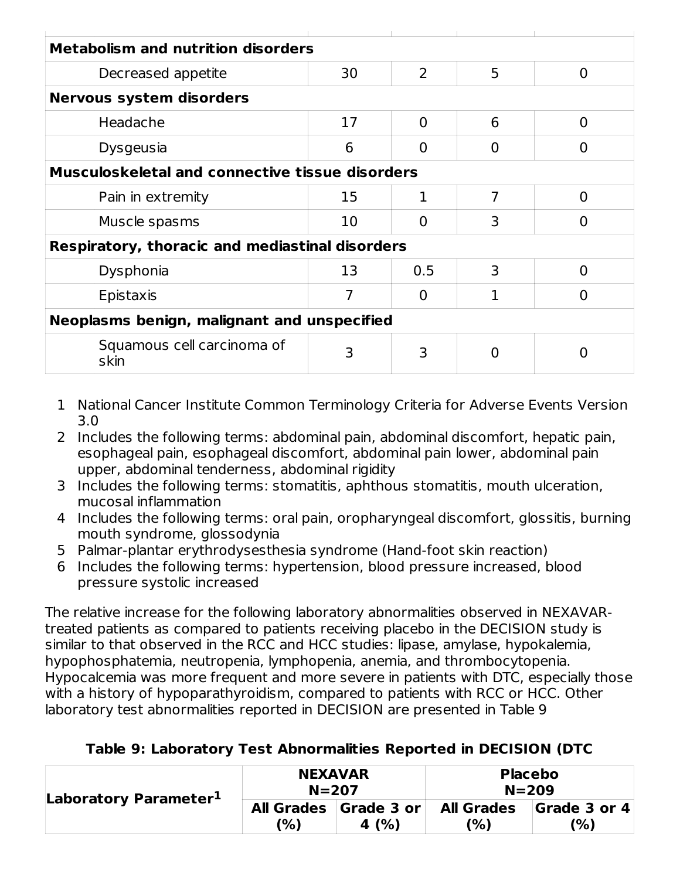| <b>Metabolism and nutrition disorders</b>              |    |                |   |   |  |  |
|--------------------------------------------------------|----|----------------|---|---|--|--|
| Decreased appetite                                     | 30 | $\overline{2}$ | 5 | O |  |  |
| <b>Nervous system disorders</b>                        |    |                |   |   |  |  |
| Headache                                               | 17 | 0              | 6 | O |  |  |
| <b>Dysgeusia</b>                                       | 6  |                | O |   |  |  |
| <b>Musculoskeletal and connective tissue disorders</b> |    |                |   |   |  |  |
| Pain in extremity                                      | 15 | 1              | 7 | O |  |  |
| Muscle spasms                                          | 10 |                | 3 |   |  |  |
| <b>Respiratory, thoracic and mediastinal disorders</b> |    |                |   |   |  |  |
| Dysphonia                                              | 13 | 0.5            | 3 | O |  |  |
| Epistaxis                                              |    |                |   |   |  |  |
| Neoplasms benign, malignant and unspecified            |    |                |   |   |  |  |
| Squamous cell carcinoma of<br>skin                     | 3  | 3              |   |   |  |  |

- 1 National Cancer Institute Common Terminology Criteria for Adverse Events Version 3.0
- 2 Includes the following terms: abdominal pain, abdominal discomfort, hepatic pain, esophageal pain, esophageal discomfort, abdominal pain lower, abdominal pain upper, abdominal tenderness, abdominal rigidity
- 3 Includes the following terms: stomatitis, aphthous stomatitis, mouth ulceration, mucosal inflammation
- 4 Includes the following terms: oral pain, oropharyngeal discomfort, glossitis, burning mouth syndrome, glossodynia
- 5 Palmar-plantar erythrodysesthesia syndrome (Hand-foot skin reaction)
- 6 Includes the following terms: hypertension, blood pressure increased, blood pressure systolic increased

The relative increase for the following laboratory abnormalities observed in NEXAVARtreated patients as compared to patients receiving placebo in the DECISION study is similar to that observed in the RCC and HCC studies: lipase, amylase, hypokalemia, hypophosphatemia, neutropenia, lymphopenia, anemia, and thrombocytopenia. Hypocalcemia was more frequent and more severe in patients with DTC, especially those with a history of hypoparathyroidism, compared to patients with RCC or HCC. Other laboratory test abnormalities reported in DECISION are presented in Table 9

| Laboratory Parameter <sup>1</sup> | <b>NEXAVAR</b><br>$N = 207$ |                                   | <b>Placebo</b><br>$N = 209$ |                     |
|-----------------------------------|-----------------------------|-----------------------------------|-----------------------------|---------------------|
|                                   | (%)                         | All Grades Grade 3 or<br>4 $(% )$ | <b>All Grades</b><br>(%)    | Grade 3 or 4<br>(%) |

### **Table 9: Laboratory Test Abnormalities Reported in DECISION (DTC**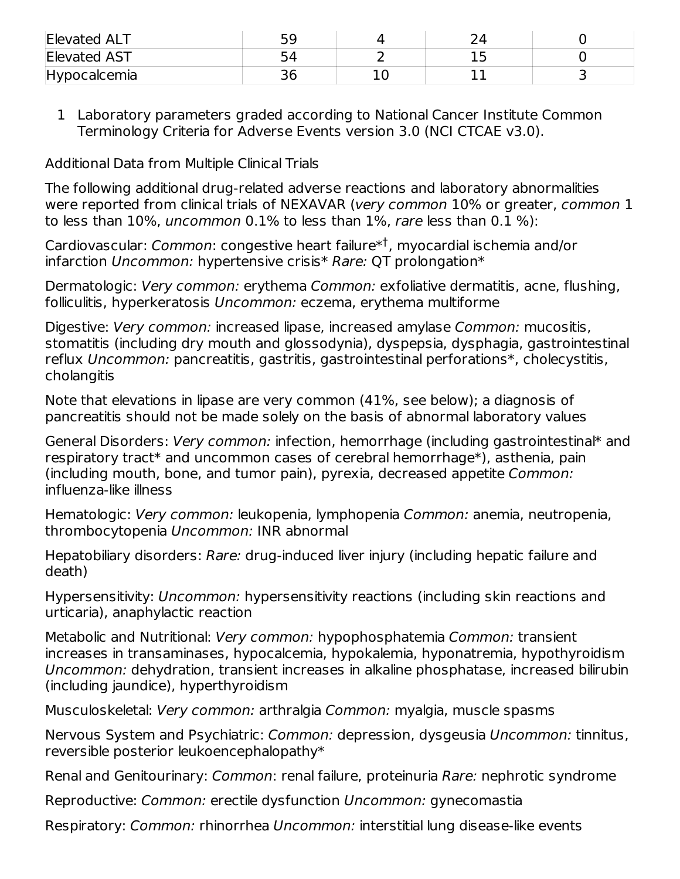| <b>Elevated ALT</b> | 50 |  |  |
|---------------------|----|--|--|
| <b>Elevated AST</b> |    |  |  |
| Hypocalcemia        | эc |  |  |

1 Laboratory parameters graded according to National Cancer Institute Common Terminology Criteria for Adverse Events version 3.0 (NCI CTCAE v3.0).

Additional Data from Multiple Clinical Trials

The following additional drug-related adverse reactions and laboratory abnormalities were reported from clinical trials of NEXAVAR (very common 10% or greater, common 1 to less than 10%, uncommon 0.1% to less than 1%, rare less than 0.1 %):

Cardiovascular: *Common*: congestive heart failure\*<sup>†</sup>, myocardial ischemia and/or infarction Uncommon: hypertensive crisis\* Rare: QT prolongation\*

Dermatologic: Very common: erythema Common: exfoliative dermatitis, acne, flushing, folliculitis, hyperkeratosis Uncommon: eczema, erythema multiforme

Digestive: Very common: increased lipase, increased amylase Common: mucositis, stomatitis (including dry mouth and glossodynia), dyspepsia, dysphagia, gastrointestinal reflux Uncommon: pancreatitis, gastritis, gastrointestinal perforations\*, cholecystitis, cholangitis

Note that elevations in lipase are very common (41%, see below); a diagnosis of pancreatitis should not be made solely on the basis of abnormal laboratory values

General Disorders: Very common: infection, hemorrhage (including gastrointestinal\* and respiratory tract\* and uncommon cases of cerebral hemorrhage\*), asthenia, pain (including mouth, bone, and tumor pain), pyrexia, decreased appetite Common: influenza-like illness

Hematologic: Very common: leukopenia, lymphopenia Common: anemia, neutropenia, thrombocytopenia Uncommon: INR abnormal

Hepatobiliary disorders: Rare: drug-induced liver injury (including hepatic failure and death)

Hypersensitivity: Uncommon: hypersensitivity reactions (including skin reactions and urticaria), anaphylactic reaction

Metabolic and Nutritional: Very common: hypophosphatemia Common: transient increases in transaminases, hypocalcemia, hypokalemia, hyponatremia, hypothyroidism Uncommon: dehydration, transient increases in alkaline phosphatase, increased bilirubin (including jaundice), hyperthyroidism

Musculoskeletal: Very common: arthralgia Common: myalgia, muscle spasms

Nervous System and Psychiatric: Common: depression, dysgeusia Uncommon: tinnitus, reversible posterior leukoencephalopathy\*

Renal and Genitourinary: Common: renal failure, proteinuria Rare: nephrotic syndrome

Reproductive: Common: erectile dysfunction Uncommon: gynecomastia

Respiratory: Common: rhinorrhea Uncommon: interstitial lung disease-like events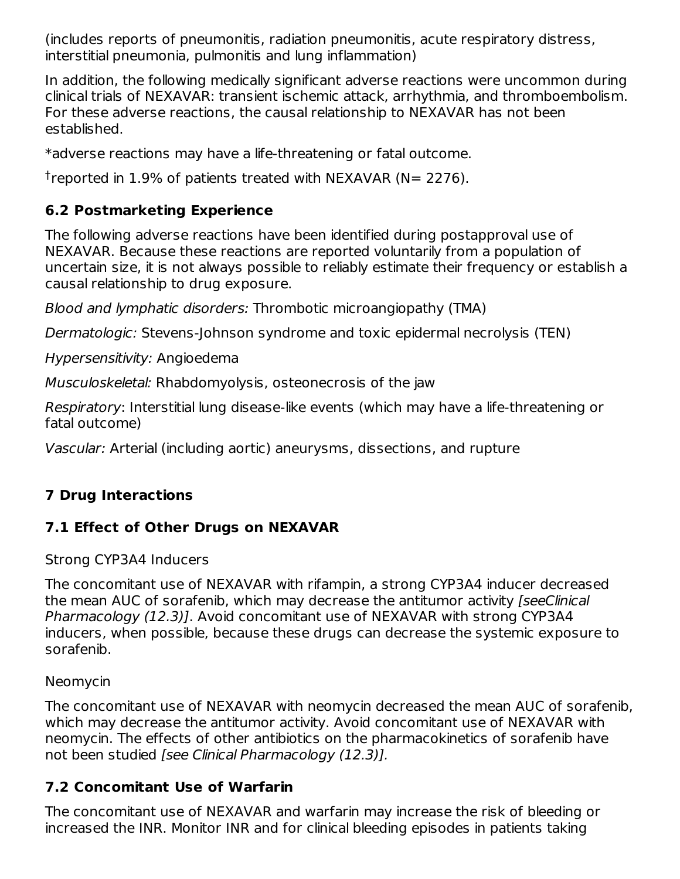(includes reports of pneumonitis, radiation pneumonitis, acute respiratory distress, interstitial pneumonia, pulmonitis and lung inflammation)

In addition, the following medically significant adverse reactions were uncommon during clinical trials of NEXAVAR: transient ischemic attack, arrhythmia, and thromboembolism. For these adverse reactions, the causal relationship to NEXAVAR has not been established.

\*adverse reactions may have a life-threatening or fatal outcome.

<sup>†</sup>reported in 1.9% of patients treated with NEXAVAR (N= 2276).

# **6.2 Postmarketing Experience**

The following adverse reactions have been identified during postapproval use of NEXAVAR. Because these reactions are reported voluntarily from a population of uncertain size, it is not always possible to reliably estimate their frequency or establish a causal relationship to drug exposure.

Blood and lymphatic disorders: Thrombotic microangiopathy (TMA)

Dermatologic: Stevens-Johnson syndrome and toxic epidermal necrolysis (TEN)

Hypersensitivity: Angioedema

Musculoskeletal: Rhabdomyolysis, osteonecrosis of the jaw

Respiratory: Interstitial lung disease-like events (which may have a life-threatening or fatal outcome)

Vascular: Arterial (including aortic) aneurysms, dissections, and rupture

# **7 Drug Interactions**

# **7.1 Effect of Other Drugs on NEXAVAR**

Strong CYP3A4 Inducers

The concomitant use of NEXAVAR with rifampin, a strong CYP3A4 inducer decreased the mean AUC of sorafenib, which may decrease the antitumor activity [seeClinical Pharmacology (12.3)]. Avoid concomitant use of NEXAVAR with strong CYP3A4 inducers, when possible, because these drugs can decrease the systemic exposure to sorafenib.

# Neomycin

The concomitant use of NEXAVAR with neomycin decreased the mean AUC of sorafenib, which may decrease the antitumor activity. Avoid concomitant use of NEXAVAR with neomycin. The effects of other antibiotics on the pharmacokinetics of sorafenib have not been studied [see Clinical Pharmacology (12.3)].

# **7.2 Concomitant Use of Warfarin**

The concomitant use of NEXAVAR and warfarin may increase the risk of bleeding or increased the INR. Monitor INR and for clinical bleeding episodes in patients taking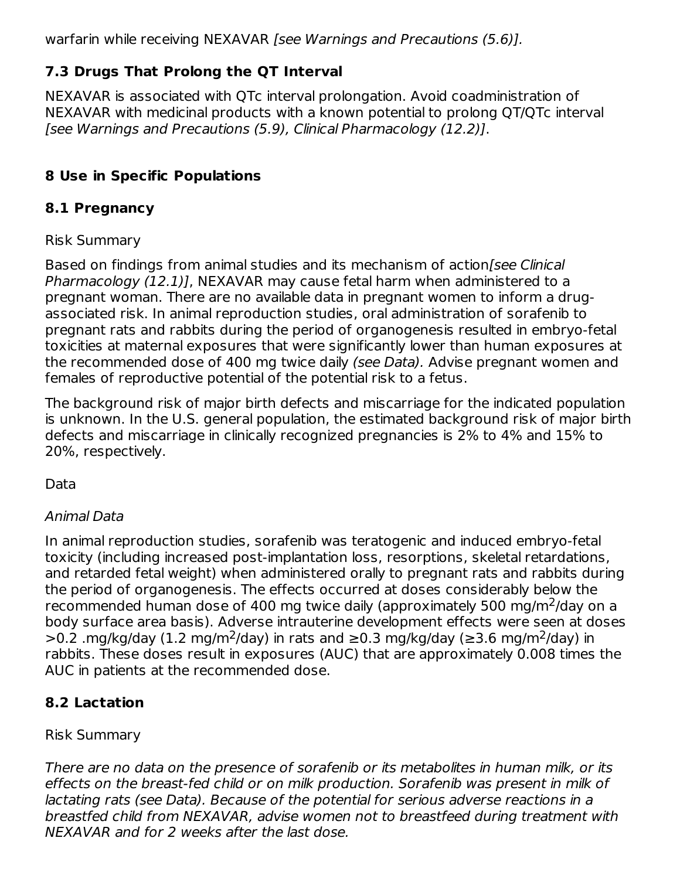warfarin while receiving NEXAVAR [see Warnings and Precautions (5.6)].

# **7.3 Drugs That Prolong the QT Interval**

NEXAVAR is associated with QTc interval prolongation. Avoid coadministration of NEXAVAR with medicinal products with a known potential to prolong QT/QTc interval [see Warnings and Precautions (5.9), Clinical Pharmacology (12.2)].

## **8 Use in Specific Populations**

## **8.1 Pregnancy**

## Risk Summary

Based on findings from animal studies and its mechanism of action/see Clinical Pharmacology (12.1)], NEXAVAR may cause fetal harm when administered to a pregnant woman. There are no available data in pregnant women to inform a drugassociated risk. In animal reproduction studies, oral administration of sorafenib to pregnant rats and rabbits during the period of organogenesis resulted in embryo-fetal toxicities at maternal exposures that were significantly lower than human exposures at the recommended dose of 400 mg twice daily (see Data). Advise pregnant women and females of reproductive potential of the potential risk to a fetus.

The background risk of major birth defects and miscarriage for the indicated population is unknown. In the U.S. general population, the estimated background risk of major birth defects and miscarriage in clinically recognized pregnancies is 2% to 4% and 15% to 20%, respectively.

Data

## Animal Data

In animal reproduction studies, sorafenib was teratogenic and induced embryo-fetal toxicity (including increased post-implantation loss, resorptions, skeletal retardations, and retarded fetal weight) when administered orally to pregnant rats and rabbits during the period of organogenesis. The effects occurred at doses considerably below the recommended human dose of 400 mg twice daily (approximately 500 mg/m $^2$ /day on a body surface area basis). Adverse intrauterine development effects were seen at doses >0.2 .mg/kg/day (1.2 mg/m<sup>2</sup>/day) in rats and ≥0.3 mg/kg/day (≥3.6 mg/m<sup>2</sup>/day) in rabbits. These doses result in exposures (AUC) that are approximately 0.008 times the AUC in patients at the recommended dose.

# **8.2 Lactation**

## Risk Summary

There are no data on the presence of sorafenib or its metabolites in human milk, or its effects on the breast-fed child or on milk production. Sorafenib was present in milk of lactating rats (see Data). Because of the potential for serious adverse reactions in a breastfed child from NEXAVAR, advise women not to breastfeed during treatment with NEXAVAR and for 2 weeks after the last dose.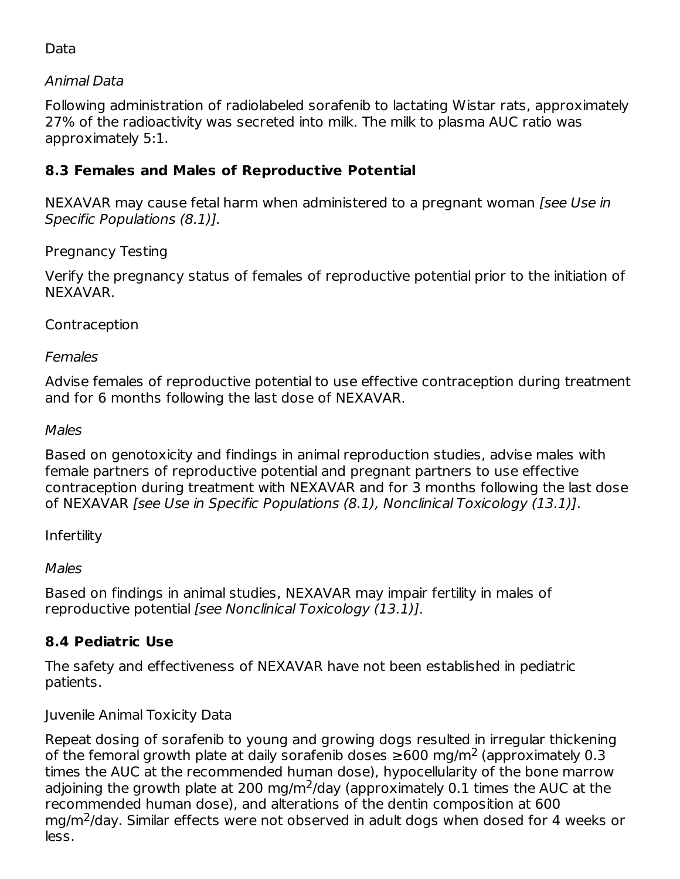## Data

## Animal Data

Following administration of radiolabeled sorafenib to lactating Wistar rats, approximately 27% of the radioactivity was secreted into milk. The milk to plasma AUC ratio was approximately 5:1.

## **8.3 Females and Males of Reproductive Potential**

NEXAVAR may cause fetal harm when administered to a pregnant woman [see Use in Specific Populations (8.1)].

## Pregnancy Testing

Verify the pregnancy status of females of reproductive potential prior to the initiation of NEXAVAR.

## Contraception

### **Females**

Advise females of reproductive potential to use effective contraception during treatment and for 6 months following the last dose of NEXAVAR.

#### Males

Based on genotoxicity and findings in animal reproduction studies, advise males with female partners of reproductive potential and pregnant partners to use effective contraception during treatment with NEXAVAR and for 3 months following the last dose of NEXAVAR [see Use in Specific Populations (8.1), Nonclinical Toxicology (13.1)].

### Infertility

### Males

Based on findings in animal studies, NEXAVAR may impair fertility in males of reproductive potential [see Nonclinical Toxicology (13.1)].

## **8.4 Pediatric Use**

The safety and effectiveness of NEXAVAR have not been established in pediatric patients.

Juvenile Animal Toxicity Data

Repeat dosing of sorafenib to young and growing dogs resulted in irregular thickening of the femoral growth plate at daily sorafenib doses  $\geq$ 600 mg/m<sup>2</sup> (approximately 0.3 times the AUC at the recommended human dose), hypocellularity of the bone marrow adjoining the growth plate at 200 mg/m<sup>2</sup>/day (approximately 0.1 times the AUC at the recommended human dose), and alterations of the dentin composition at 600  $mg/m<sup>2</sup>/day$ . Similar effects were not observed in adult dogs when dosed for 4 weeks or less.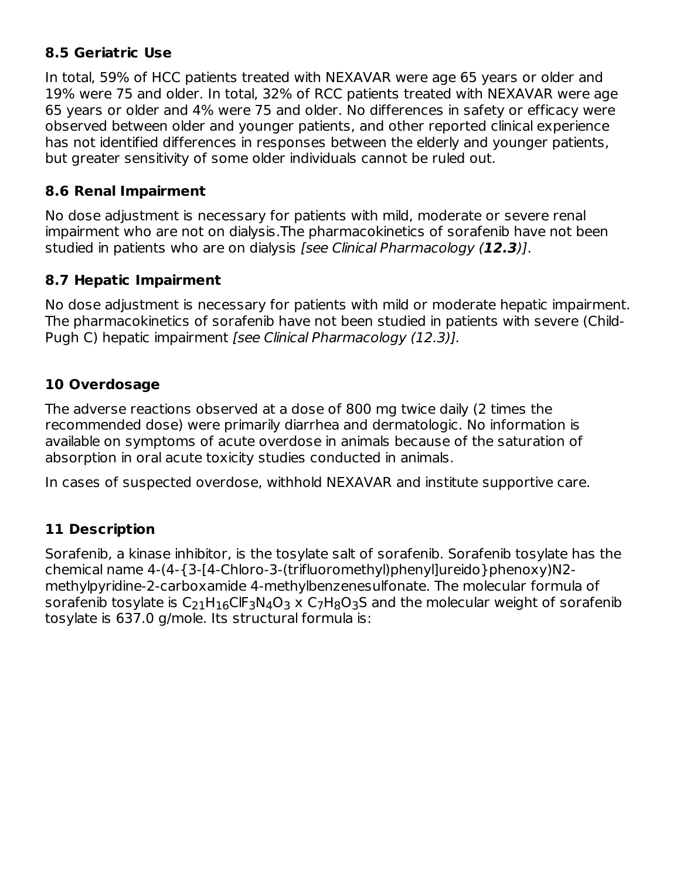## **8.5 Geriatric Use**

In total, 59% of HCC patients treated with NEXAVAR were age 65 years or older and 19% were 75 and older. In total, 32% of RCC patients treated with NEXAVAR were age 65 years or older and 4% were 75 and older. No differences in safety or efficacy were observed between older and younger patients, and other reported clinical experience has not identified differences in responses between the elderly and younger patients, but greater sensitivity of some older individuals cannot be ruled out.

## **8.6 Renal Impairment**

No dose adjustment is necessary for patients with mild, moderate or severe renal impairment who are not on dialysis.The pharmacokinetics of sorafenib have not been studied in patients who are on dialysis [see Clinical Pharmacology (**12.3**)].

## **8.7 Hepatic Impairment**

No dose adjustment is necessary for patients with mild or moderate hepatic impairment. The pharmacokinetics of sorafenib have not been studied in patients with severe (Child-Pugh C) hepatic impairment [see Clinical Pharmacology (12.3)].

# **10 Overdosage**

The adverse reactions observed at a dose of 800 mg twice daily (2 times the recommended dose) were primarily diarrhea and dermatologic. No information is available on symptoms of acute overdose in animals because of the saturation of absorption in oral acute toxicity studies conducted in animals.

In cases of suspected overdose, withhold NEXAVAR and institute supportive care.

# **11 Description**

Sorafenib, a kinase inhibitor, is the tosylate salt of sorafenib. Sorafenib tosylate has the chemical name 4-(4-{3-[4-Chloro-3-(trifluoromethyl)phenyl]ureido}phenoxy)N2 methylpyridine-2-carboxamide 4-methylbenzenesulfonate. The molecular formula of sorafenib tosylate is  $\mathsf{C}_{21}\mathsf{H}_{16}\mathsf{CIF}_{3}\mathsf{N}_{4}\mathsf{O}_{3}$  x  $\mathsf{C}_{7}\mathsf{H}_{8}\mathsf{O}_{3}\mathsf{S}$  and the molecular weight of sorafenib tosylate is 637.0 g/mole. Its structural formula is: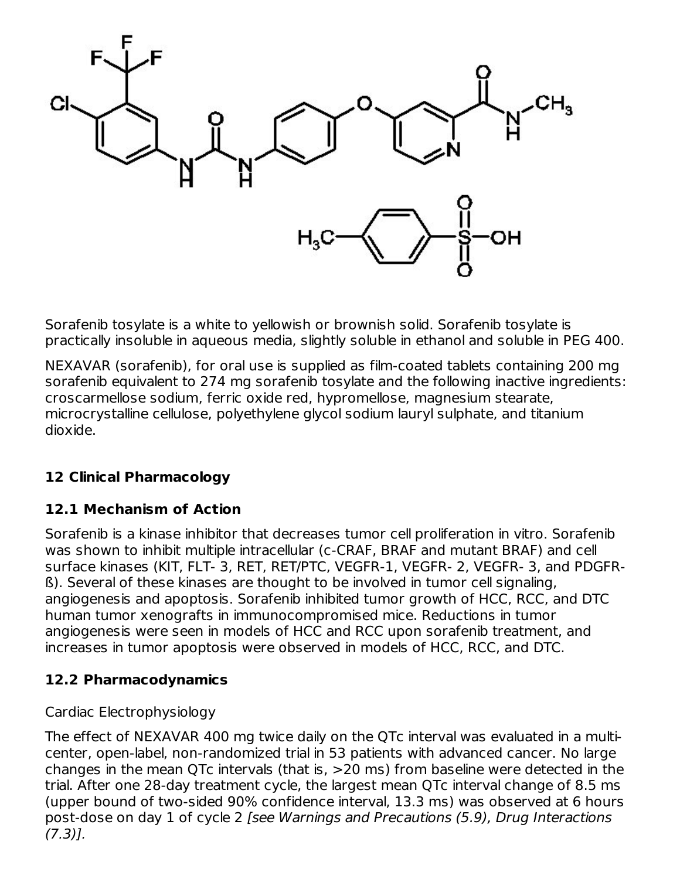

Sorafenib tosylate is a white to yellowish or brownish solid. Sorafenib tosylate is practically insoluble in aqueous media, slightly soluble in ethanol and soluble in PEG 400.

NEXAVAR (sorafenib), for oral use is supplied as film-coated tablets containing 200 mg sorafenib equivalent to 274 mg sorafenib tosylate and the following inactive ingredients: croscarmellose sodium, ferric oxide red, hypromellose, magnesium stearate, microcrystalline cellulose, polyethylene glycol sodium lauryl sulphate, and titanium dioxide.

# **12 Clinical Pharmacology**

## **12.1 Mechanism of Action**

Sorafenib is a kinase inhibitor that decreases tumor cell proliferation in vitro. Sorafenib was shown to inhibit multiple intracellular (c-CRAF, BRAF and mutant BRAF) and cell surface kinases (KIT, FLT- 3, RET, RET/PTC, VEGFR-1, VEGFR- 2, VEGFR- 3, and PDGFRß). Several of these kinases are thought to be involved in tumor cell signaling, angiogenesis and apoptosis. Sorafenib inhibited tumor growth of HCC, RCC, and DTC human tumor xenografts in immunocompromised mice. Reductions in tumor angiogenesis were seen in models of HCC and RCC upon sorafenib treatment, and increases in tumor apoptosis were observed in models of HCC, RCC, and DTC.

## **12.2 Pharmacodynamics**

### Cardiac Electrophysiology

The effect of NEXAVAR 400 mg twice daily on the QTc interval was evaluated in a multicenter, open-label, non-randomized trial in 53 patients with advanced cancer. No large changes in the mean QTc intervals (that is, >20 ms) from baseline were detected in the trial. After one 28-day treatment cycle, the largest mean QTc interval change of 8.5 ms (upper bound of two-sided 90% confidence interval, 13.3 ms) was observed at 6 hours post-dose on day 1 of cycle 2 [see Warnings and Precautions (5.9), Drug Interactions  $(7.3)$ ].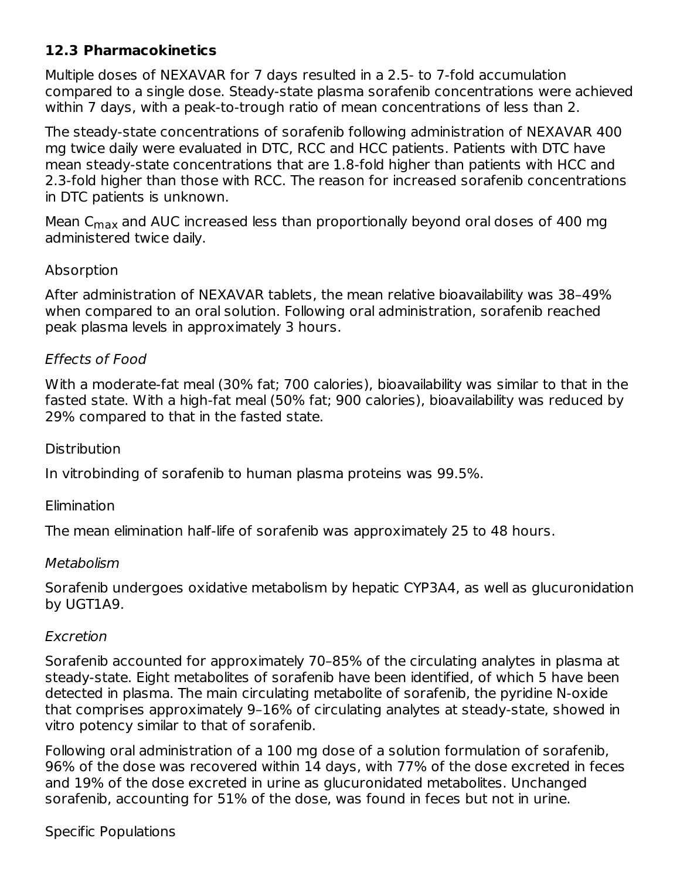## **12.3 Pharmacokinetics**

Multiple doses of NEXAVAR for 7 days resulted in a 2.5- to 7-fold accumulation compared to a single dose. Steady-state plasma sorafenib concentrations were achieved within 7 days, with a peak-to-trough ratio of mean concentrations of less than 2.

The steady-state concentrations of sorafenib following administration of NEXAVAR 400 mg twice daily were evaluated in DTC, RCC and HCC patients. Patients with DTC have mean steady-state concentrations that are 1.8-fold higher than patients with HCC and 2.3-fold higher than those with RCC. The reason for increased sorafenib concentrations in DTC patients is unknown.

Mean C $_{\sf max}$  and AUC increased less than proportionally beyond oral doses of 400 mg administered twice daily.

#### Absorption

After administration of NEXAVAR tablets, the mean relative bioavailability was 38–49% when compared to an oral solution. Following oral administration, sorafenib reached peak plasma levels in approximately 3 hours.

#### Effects of Food

With a moderate-fat meal (30% fat; 700 calories), bioavailability was similar to that in the fasted state. With a high-fat meal (50% fat; 900 calories), bioavailability was reduced by 29% compared to that in the fasted state.

#### **Distribution**

In vitrobinding of sorafenib to human plasma proteins was 99.5%.

#### **Elimination**

The mean elimination half-life of sorafenib was approximately 25 to 48 hours.

#### Metabolism

Sorafenib undergoes oxidative metabolism by hepatic CYP3A4, as well as glucuronidation by UGT1A9.

#### Excretion

Sorafenib accounted for approximately 70–85% of the circulating analytes in plasma at steady-state. Eight metabolites of sorafenib have been identified, of which 5 have been detected in plasma. The main circulating metabolite of sorafenib, the pyridine N-oxide that comprises approximately 9–16% of circulating analytes at steady-state, showed in vitro potency similar to that of sorafenib.

Following oral administration of a 100 mg dose of a solution formulation of sorafenib, 96% of the dose was recovered within 14 days, with 77% of the dose excreted in feces and 19% of the dose excreted in urine as glucuronidated metabolites. Unchanged sorafenib, accounting for 51% of the dose, was found in feces but not in urine.

### Specific Populations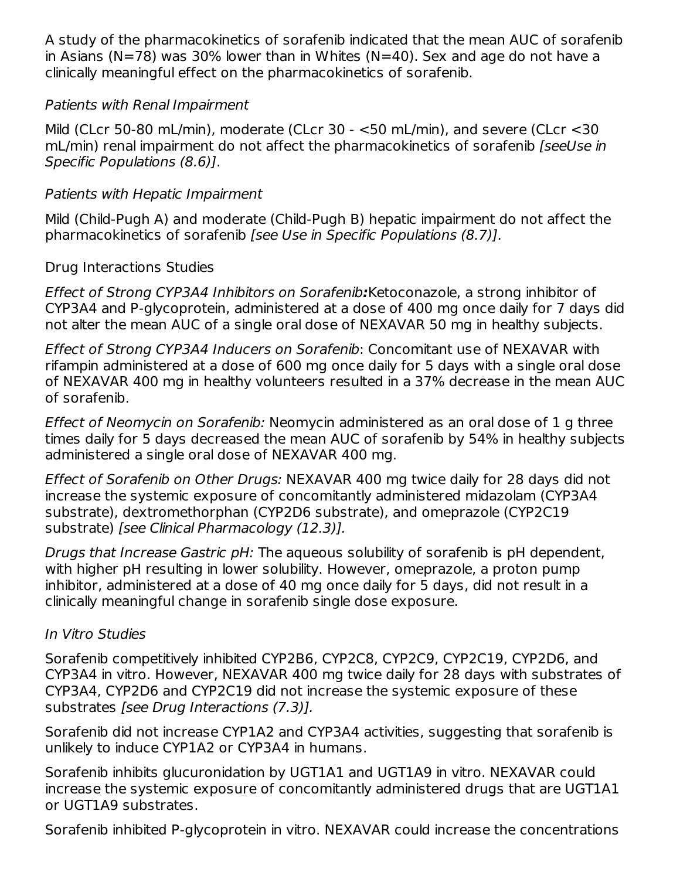A study of the pharmacokinetics of sorafenib indicated that the mean AUC of sorafenib in Asians (N=78) was 30% lower than in Whites (N=40). Sex and age do not have a clinically meaningful effect on the pharmacokinetics of sorafenib.

### Patients with Renal Impairment

Mild (CLcr 50-80 mL/min), moderate (CLcr 30 - <50 mL/min), and severe (CLcr <30 mL/min) renal impairment do not affect the pharmacokinetics of sorafenib *[seeUse in* Specific Populations (8.6)].

## Patients with Hepatic Impairment

Mild (Child-Pugh A) and moderate (Child-Pugh B) hepatic impairment do not affect the pharmacokinetics of sorafenib [see Use in Specific Populations (8.7)].

## Drug Interactions Studies

Effect of Strong CYP3A4 Inhibitors on Sorafenib**:**Ketoconazole, a strong inhibitor of CYP3A4 and P-glycoprotein, administered at a dose of 400 mg once daily for 7 days did not alter the mean AUC of a single oral dose of NEXAVAR 50 mg in healthy subjects.

Effect of Strong CYP3A4 Inducers on Sorafenib: Concomitant use of NEXAVAR with rifampin administered at a dose of 600 mg once daily for 5 days with a single oral dose of NEXAVAR 400 mg in healthy volunteers resulted in a 37% decrease in the mean AUC of sorafenib.

Effect of Neomycin on Sorafenib: Neomycin administered as an oral dose of 1 g three times daily for 5 days decreased the mean AUC of sorafenib by 54% in healthy subjects administered a single oral dose of NEXAVAR 400 mg.

Effect of Sorafenib on Other Drugs: NEXAVAR 400 mg twice daily for 28 days did not increase the systemic exposure of concomitantly administered midazolam (CYP3A4 substrate), dextromethorphan (CYP2D6 substrate), and omeprazole (CYP2C19 substrate) [see Clinical Pharmacology (12.3)].

Drugs that Increase Gastric pH: The aqueous solubility of sorafenib is pH dependent, with higher pH resulting in lower solubility. However, omeprazole, a proton pump inhibitor, administered at a dose of 40 mg once daily for 5 days, did not result in a clinically meaningful change in sorafenib single dose exposure.

### In Vitro Studies

Sorafenib competitively inhibited CYP2B6, CYP2C8, CYP2C9, CYP2C19, CYP2D6, and CYP3A4 in vitro. However, NEXAVAR 400 mg twice daily for 28 days with substrates of CYP3A4, CYP2D6 and CYP2C19 did not increase the systemic exposure of these substrates [see Drug Interactions (7.3)].

Sorafenib did not increase CYP1A2 and CYP3A4 activities, suggesting that sorafenib is unlikely to induce CYP1A2 or CYP3A4 in humans.

Sorafenib inhibits glucuronidation by UGT1A1 and UGT1A9 in vitro. NEXAVAR could increase the systemic exposure of concomitantly administered drugs that are UGT1A1 or UGT1A9 substrates.

Sorafenib inhibited P-glycoprotein in vitro. NEXAVAR could increase the concentrations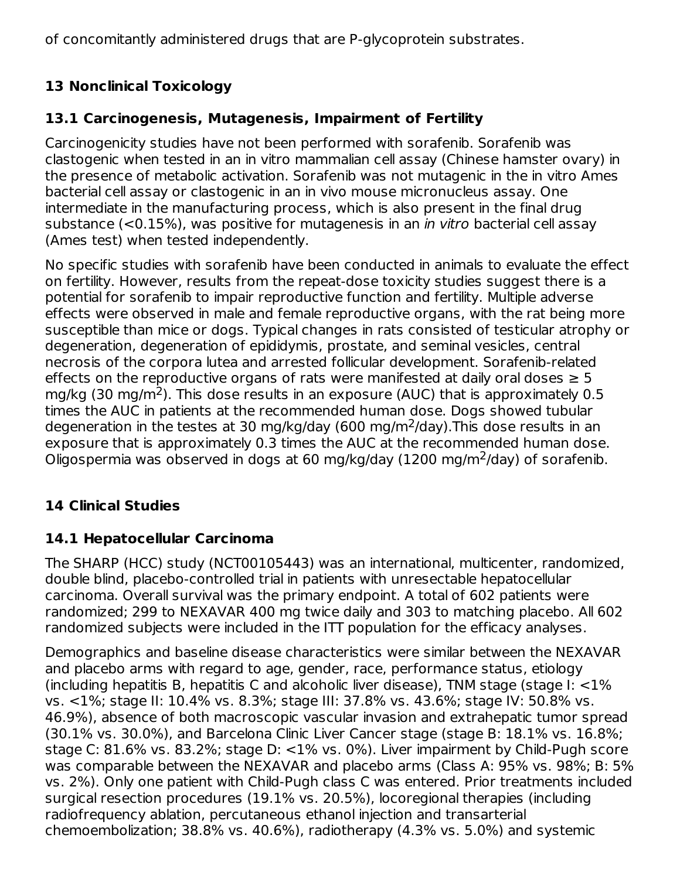of concomitantly administered drugs that are P-glycoprotein substrates.

# **13 Nonclinical Toxicology**

## **13.1 Carcinogenesis, Mutagenesis, Impairment of Fertility**

Carcinogenicity studies have not been performed with sorafenib. Sorafenib was clastogenic when tested in an in vitro mammalian cell assay (Chinese hamster ovary) in the presence of metabolic activation. Sorafenib was not mutagenic in the in vitro Ames bacterial cell assay or clastogenic in an in vivo mouse micronucleus assay. One intermediate in the manufacturing process, which is also present in the final drug substance (<0.15%), was positive for mutagenesis in an *in vitro* bacterial cell assay (Ames test) when tested independently.

No specific studies with sorafenib have been conducted in animals to evaluate the effect on fertility. However, results from the repeat-dose toxicity studies suggest there is a potential for sorafenib to impair reproductive function and fertility. Multiple adverse effects were observed in male and female reproductive organs, with the rat being more susceptible than mice or dogs. Typical changes in rats consisted of testicular atrophy or degeneration, degeneration of epididymis, prostate, and seminal vesicles, central necrosis of the corpora lutea and arrested follicular development. Sorafenib-related effects on the reproductive organs of rats were manifested at daily oral doses  $\geq 5$ mg/kg (30 mg/m<sup>2</sup>). This dose results in an exposure (AUC) that is approximately 0.5 times the AUC in patients at the recommended human dose. Dogs showed tubular degeneration in the testes at 30 mg/kg/day (600 mg/m<sup>2</sup>/day). This dose results in an exposure that is approximately 0.3 times the AUC at the recommended human dose. Oligospermia was observed in dogs at 60 mg/kg/day (1200 mg/m<sup>2</sup>/day) of sorafenib.

# **14 Clinical Studies**

## **14.1 Hepatocellular Carcinoma**

The SHARP (HCC) study (NCT00105443) was an international, multicenter, randomized, double blind, placebo-controlled trial in patients with unresectable hepatocellular carcinoma. Overall survival was the primary endpoint. A total of 602 patients were randomized; 299 to NEXAVAR 400 mg twice daily and 303 to matching placebo. All 602 randomized subjects were included in the ITT population for the efficacy analyses.

Demographics and baseline disease characteristics were similar between the NEXAVAR and placebo arms with regard to age, gender, race, performance status, etiology (including hepatitis B, hepatitis C and alcoholic liver disease), TNM stage (stage I: <1% vs. <1%; stage II: 10.4% vs. 8.3%; stage III: 37.8% vs. 43.6%; stage IV: 50.8% vs. 46.9%), absence of both macroscopic vascular invasion and extrahepatic tumor spread (30.1% vs. 30.0%), and Barcelona Clinic Liver Cancer stage (stage B: 18.1% vs. 16.8%; stage C: 81.6% vs. 83.2%; stage D: <1% vs. 0%). Liver impairment by Child-Pugh score was comparable between the NEXAVAR and placebo arms (Class A: 95% vs. 98%; B: 5% vs. 2%). Only one patient with Child-Pugh class C was entered. Prior treatments included surgical resection procedures (19.1% vs. 20.5%), locoregional therapies (including radiofrequency ablation, percutaneous ethanol injection and transarterial chemoembolization; 38.8% vs. 40.6%), radiotherapy (4.3% vs. 5.0%) and systemic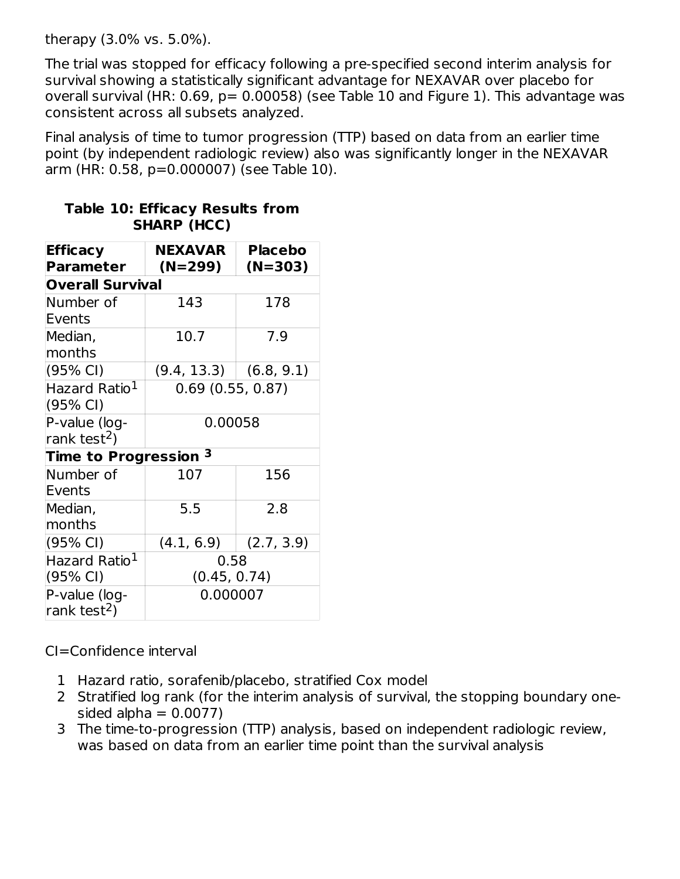therapy (3.0% vs. 5.0%).

The trial was stopped for efficacy following a pre-specified second interim analysis for survival showing a statistically significant advantage for NEXAVAR over placebo for overall survival (HR:  $0.69$ ,  $p= 0.00058$ ) (see Table 10 and Figure 1). This advantage was consistent across all subsets analyzed.

Final analysis of time to tumor progression (TTP) based on data from an earlier time point (by independent radiologic review) also was significantly longer in the NEXAVAR arm (HR: 0.58, p=0.000007) (see Table 10).

| <b>Efficacy</b>                  | <b>NEXAVAR</b>           | <b>Placebo</b> |  |
|----------------------------------|--------------------------|----------------|--|
| <b>Parameter</b>                 | $(N=299)$                | (N=303)        |  |
| <b>Overall Survival</b>          |                          |                |  |
| Number of                        | 143                      | 178            |  |
| Events                           |                          |                |  |
| Median,                          | 10.7                     | 7.9            |  |
| months                           |                          |                |  |
| (95% CI)                         | $(9.4, 13.3)$ (6.8, 9.1) |                |  |
| Hazard Ratio <sup>1</sup>        | 0.69(0.55, 0.87)         |                |  |
| (95% CI)                         |                          |                |  |
| P-value (log-                    | 0.00058                  |                |  |
| rank test <sup>2</sup> )         |                          |                |  |
| Time to Progression <sup>3</sup> |                          |                |  |
| Number of                        | 107                      | 156            |  |
| Events                           |                          |                |  |
| Median,                          | 5.5                      | 2.8            |  |
| months                           |                          |                |  |
| (95% CI)                         | (4.1, 6.9)               | (2.7, 3.9)     |  |
| Hazard Ratio <sup>1</sup>        | 0.58                     |                |  |
| $(95% \text{ Cl})$               | (0.45, 0.74)             |                |  |
| P-value (log-                    | 0.000007                 |                |  |
| rank test <sup>2</sup> )         |                          |                |  |

#### **Table 10: Efficacy Results from SHARP (HCC)**

CI=Confidence interval

- 1 Hazard ratio, sorafenib/placebo, stratified Cox model
- 2 Stratified log rank (for the interim analysis of survival, the stopping boundary onesided alpha  $= 0.0077$ )
- 3 The time-to-progression (TTP) analysis, based on independent radiologic review, was based on data from an earlier time point than the survival analysis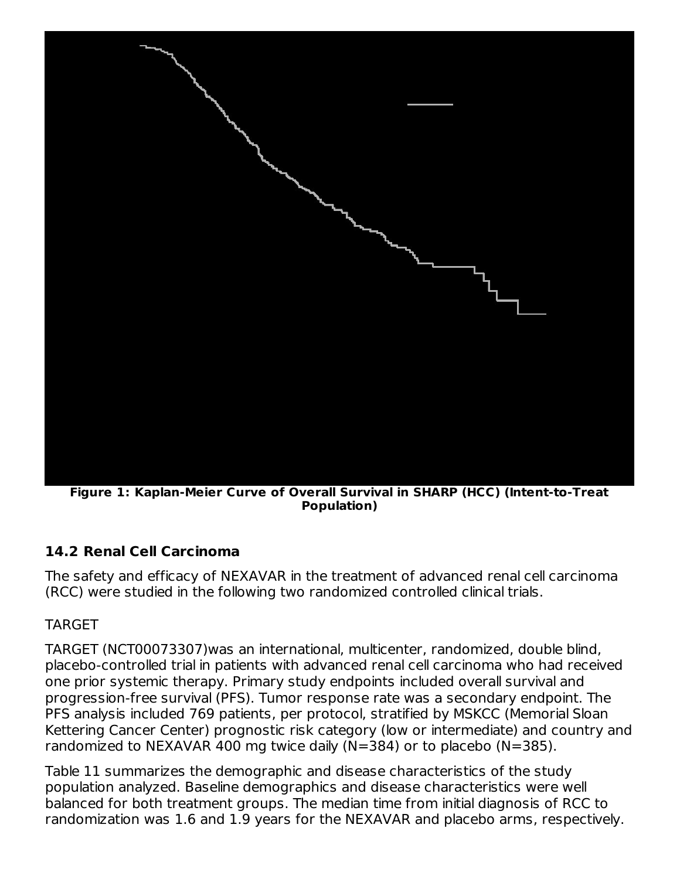

**Figure 1: Kaplan-Meier Curve of Overall Survival in SHARP (HCC) (Intent-to-Treat Population)**

# **14.2 Renal Cell Carcinoma**

The safety and efficacy of NEXAVAR in the treatment of advanced renal cell carcinoma (RCC) were studied in the following two randomized controlled clinical trials.

## TARGET

TARGET (NCT00073307)was an international, multicenter, randomized, double blind, placebo-controlled trial in patients with advanced renal cell carcinoma who had received one prior systemic therapy. Primary study endpoints included overall survival and progression-free survival (PFS). Tumor response rate was a secondary endpoint. The PFS analysis included 769 patients, per protocol, stratified by MSKCC (Memorial Sloan Kettering Cancer Center) prognostic risk category (low or intermediate) and country and randomized to NEXAVAR 400 mg twice daily (N=384) or to placebo (N=385).

Table 11 summarizes the demographic and disease characteristics of the study population analyzed. Baseline demographics and disease characteristics were well balanced for both treatment groups. The median time from initial diagnosis of RCC to randomization was 1.6 and 1.9 years for the NEXAVAR and placebo arms, respectively.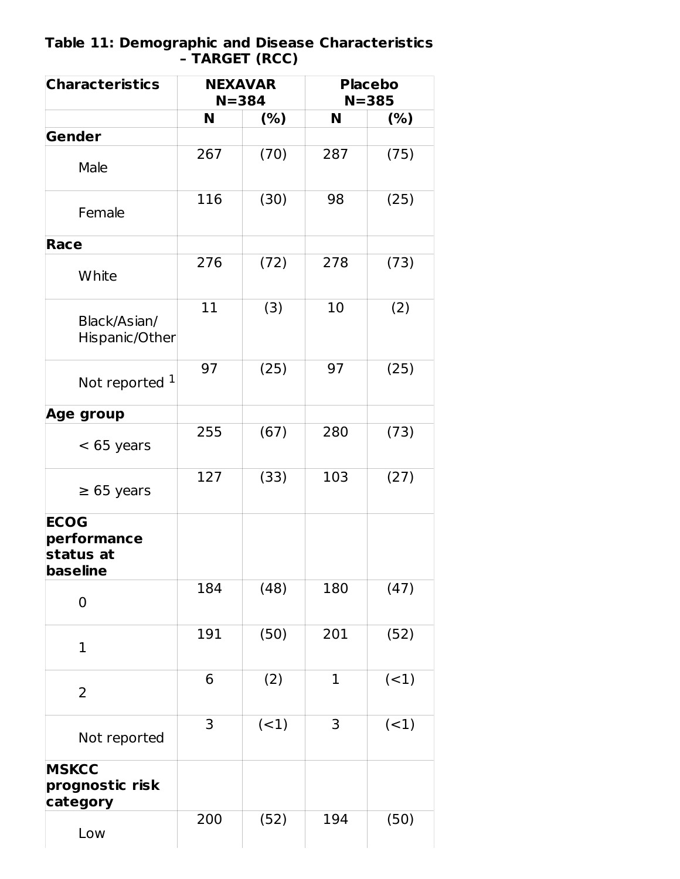#### **Table 11: Demographic and Disease Characteristics – TARGET (RCC)**

| <b>Characteristics</b>                                     | <b>NEXAVAR</b><br>$N = 384$ |        | <b>Placebo</b><br>$N = 385$ |        |
|------------------------------------------------------------|-----------------------------|--------|-----------------------------|--------|
|                                                            | N                           | (%)    | N                           | $(\%)$ |
| Gender                                                     |                             |        |                             |        |
| Male                                                       | 267                         | (70)   | 287                         | (75)   |
| Female                                                     | 116                         | (30)   | 98                          | (25)   |
| Race                                                       |                             |        |                             |        |
| White                                                      | 276                         | (72)   | 278                         | (73)   |
| Black/Asian/<br>Hispanic/Other                             | 11                          | (3)    | 10                          | (2)    |
| Not reported 1                                             | 97                          | (25)   | 97                          | (25)   |
| <b>Age group</b>                                           |                             |        |                             |        |
| $<$ 65 years                                               | 255                         | (67)   | 280                         | (73)   |
| $\geq 65$ years                                            | 127                         | (33)   | 103                         | (27)   |
| <b>ECOG</b><br>performance<br>status at<br><b>baseline</b> |                             |        |                             |        |
| $\mathbf 0$                                                | 184                         | (48)   | 180                         | (47)   |
| $\mathbf{1}$                                               | 191                         | (50)   | 201                         | (52)   |
| $\overline{2}$                                             | 6                           | (2)    | $\mathbf 1$                 | $(-1)$ |
| Not reported                                               | 3                           | $(-1)$ | 3                           | (1)    |
| <b>MSKCC</b><br>prognostic risk<br>category                |                             |        |                             |        |
| Low                                                        | 200                         | (52)   | 194                         | (50)   |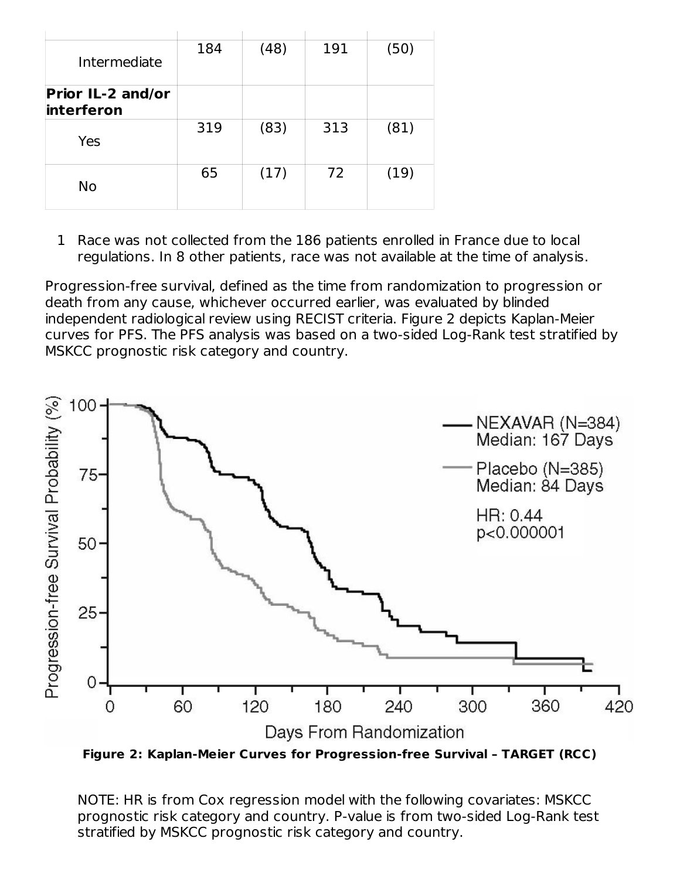| Intermediate                           | 184 | (48) | 191 | (50) |
|----------------------------------------|-----|------|-----|------|
| <b>Prior IL-2 and/or</b><br>interferon |     |      |     |      |
| Yes                                    | 319 | (83) | 313 | (81) |
| No                                     | 65  | (17) | 72  | (19) |

1 Race was not collected from the 186 patients enrolled in France due to local regulations. In 8 other patients, race was not available at the time of analysis.

Progression-free survival, defined as the time from randomization to progression or death from any cause, whichever occurred earlier, was evaluated by blinded independent radiological review using RECIST criteria. Figure 2 depicts Kaplan-Meier curves for PFS. The PFS analysis was based on a two-sided Log-Rank test stratified by MSKCC prognostic risk category and country.



**Figure 2: Kaplan-Meier Curves for Progression-free Survival – TARGET (RCC)**

NOTE: HR is from Cox regression model with the following covariates: MSKCC prognostic risk category and country. P-value is from two-sided Log-Rank test stratified by MSKCC prognostic risk category and country.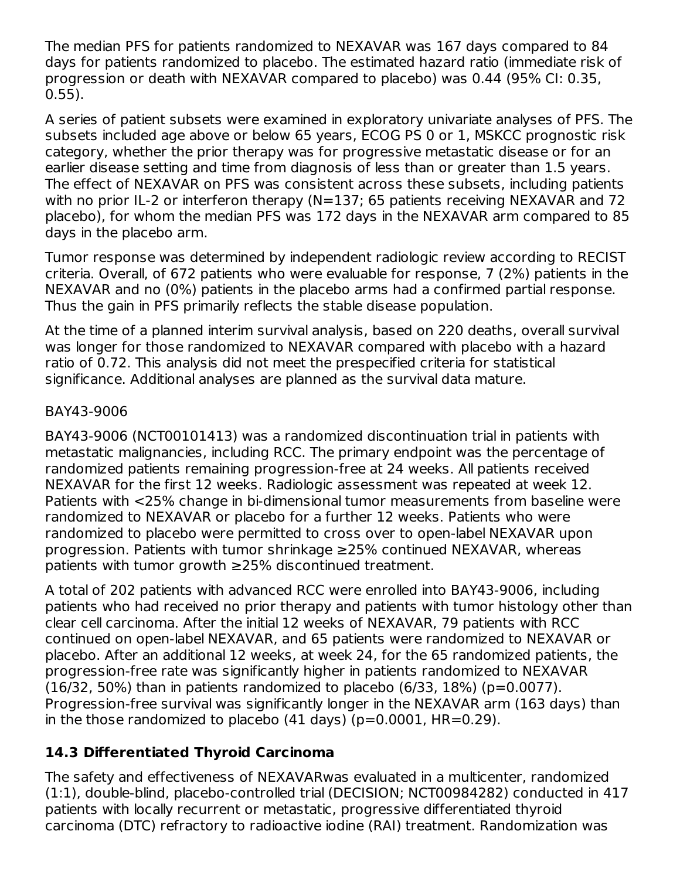The median PFS for patients randomized to NEXAVAR was 167 days compared to 84 days for patients randomized to placebo. The estimated hazard ratio (immediate risk of progression or death with NEXAVAR compared to placebo) was 0.44 (95% CI: 0.35, 0.55).

A series of patient subsets were examined in exploratory univariate analyses of PFS. The subsets included age above or below 65 years, ECOG PS 0 or 1, MSKCC prognostic risk category, whether the prior therapy was for progressive metastatic disease or for an earlier disease setting and time from diagnosis of less than or greater than 1.5 years. The effect of NEXAVAR on PFS was consistent across these subsets, including patients with no prior IL-2 or interferon therapy (N=137; 65 patients receiving NEXAVAR and 72 placebo), for whom the median PFS was 172 days in the NEXAVAR arm compared to 85 days in the placebo arm.

Tumor response was determined by independent radiologic review according to RECIST criteria. Overall, of 672 patients who were evaluable for response, 7 (2%) patients in the NEXAVAR and no (0%) patients in the placebo arms had a confirmed partial response. Thus the gain in PFS primarily reflects the stable disease population.

At the time of a planned interim survival analysis, based on 220 deaths, overall survival was longer for those randomized to NEXAVAR compared with placebo with a hazard ratio of 0.72. This analysis did not meet the prespecified criteria for statistical significance. Additional analyses are planned as the survival data mature.

## BAY43-9006

BAY43-9006 (NCT00101413) was a randomized discontinuation trial in patients with metastatic malignancies, including RCC. The primary endpoint was the percentage of randomized patients remaining progression-free at 24 weeks. All patients received NEXAVAR for the first 12 weeks. Radiologic assessment was repeated at week 12. Patients with <25% change in bi-dimensional tumor measurements from baseline were randomized to NEXAVAR or placebo for a further 12 weeks. Patients who were randomized to placebo were permitted to cross over to open-label NEXAVAR upon progression. Patients with tumor shrinkage ≥25% continued NEXAVAR, whereas patients with tumor growth ≥25% discontinued treatment.

A total of 202 patients with advanced RCC were enrolled into BAY43-9006, including patients who had received no prior therapy and patients with tumor histology other than clear cell carcinoma. After the initial 12 weeks of NEXAVAR, 79 patients with RCC continued on open-label NEXAVAR, and 65 patients were randomized to NEXAVAR or placebo. After an additional 12 weeks, at week 24, for the 65 randomized patients, the progression-free rate was significantly higher in patients randomized to NEXAVAR (16/32, 50%) than in patients randomized to placebo (6/33, 18%) (p=0.0077). Progression-free survival was significantly longer in the NEXAVAR arm (163 days) than in the those randomized to placebo  $(41 \text{ days})$   $(p=0.0001, HR=0.29)$ .

# **14.3 Differentiated Thyroid Carcinoma**

The safety and effectiveness of NEXAVARwas evaluated in a multicenter, randomized (1:1), double-blind, placebo-controlled trial (DECISION; NCT00984282) conducted in 417 patients with locally recurrent or metastatic, progressive differentiated thyroid carcinoma (DTC) refractory to radioactive iodine (RAI) treatment. Randomization was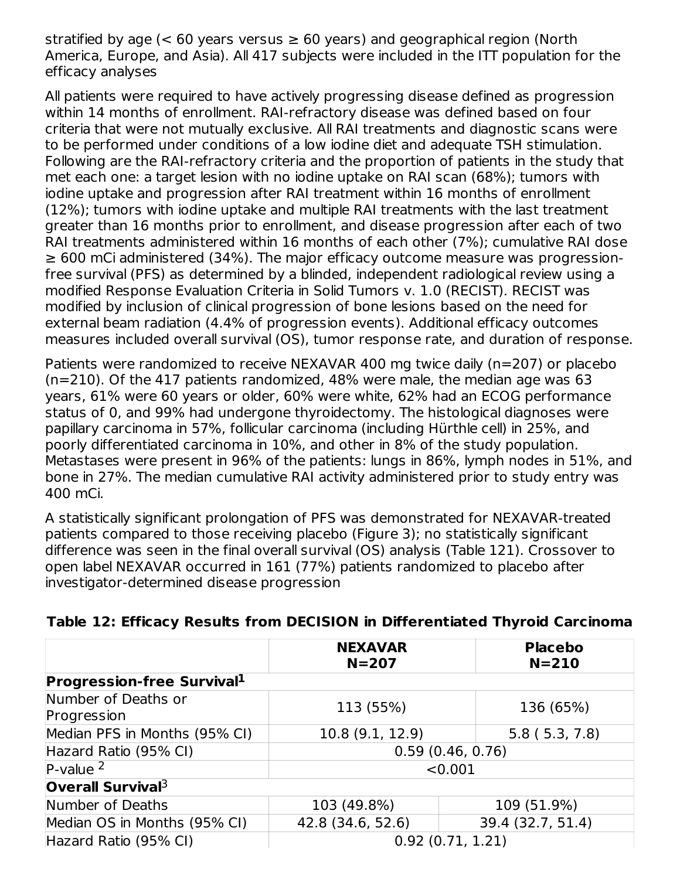stratified by age ( $< 60$  years versus  $\geq 60$  years) and geographical region (North America, Europe, and Asia). All 417 subjects were included in the ITT population for the efficacy analyses

All patients were required to have actively progressing disease defined as progression within 14 months of enrollment. RAI-refractory disease was defined based on four criteria that were not mutually exclusive. All RAI treatments and diagnostic scans were to be performed under conditions of a low iodine diet and adequate TSH stimulation. Following are the RAI-refractory criteria and the proportion of patients in the study that met each one: a target lesion with no iodine uptake on RAI scan (68%); tumors with iodine uptake and progression after RAI treatment within 16 months of enrollment (12%); tumors with iodine uptake and multiple RAI treatments with the last treatment greater than 16 months prior to enrollment, and disease progression after each of two RAI treatments administered within 16 months of each other (7%); cumulative RAI dose ≥ 600 mCi administered (34%). The major efficacy outcome measure was progressionfree survival (PFS) as determined by a blinded, independent radiological review using a modified Response Evaluation Criteria in Solid Tumors v. 1.0 (RECIST). RECIST was modified by inclusion of clinical progression of bone lesions based on the need for external beam radiation (4.4% of progression events). Additional efficacy outcomes measures included overall survival (OS), tumor response rate, and duration of response.

Patients were randomized to receive NEXAVAR 400 mg twice daily (n=207) or placebo (n=210). Of the 417 patients randomized, 48% were male, the median age was 63 years, 61% were 60 years or older, 60% were white, 62% had an ECOG performance status of 0, and 99% had undergone thyroidectomy. The histological diagnoses were papillary carcinoma in 57%, follicular carcinoma (including Hürthle cell) in 25%, and poorly differentiated carcinoma in 10%, and other in 8% of the study population. Metastases were present in 96% of the patients: lungs in 86%, lymph nodes in 51%, and bone in 27%. The median cumulative RAI activity administered prior to study entry was 400 mCi.

A statistically significant prolongation of PFS was demonstrated for NEXAVAR-treated patients compared to those receiving placebo (Figure 3); no statistically significant difference was seen in the final overall survival (OS) analysis (Table 121). Crossover to open label NEXAVAR occurred in 161 (77%) patients randomized to placebo after investigator-determined disease progression

|                                    | <b>NEXAVAR</b><br>$N = 207$ | <b>Placebo</b><br>$N = 210$ |  |
|------------------------------------|-----------------------------|-----------------------------|--|
| <b>Progression-free Survival1</b>  |                             |                             |  |
| Number of Deaths or<br>Progression | 113 (55%)                   | 136 (65%)                   |  |
| Median PFS in Months (95% CI)      | 10.8 (9.1, 12.9)            | 5.8(5.3, 7.8)               |  |
| Hazard Ratio (95% CI)              | 0.59(0.46, 0.76)            |                             |  |
| $P-value2$                         | < 0.001                     |                             |  |
| <b>Overall Survival</b> $3$        |                             |                             |  |
| Number of Deaths                   | 103 (49.8%)                 | 109 (51.9%)                 |  |
| Median OS in Months (95% CI)       | 42.8 (34.6, 52.6)           | 39.4 (32.7, 51.4)           |  |
| Hazard Ratio (95% CI)              | 0.92(0.71, 1.21)            |                             |  |

**Table 12: Efficacy Results from DECISION in Differentiated Thyroid Carcinoma**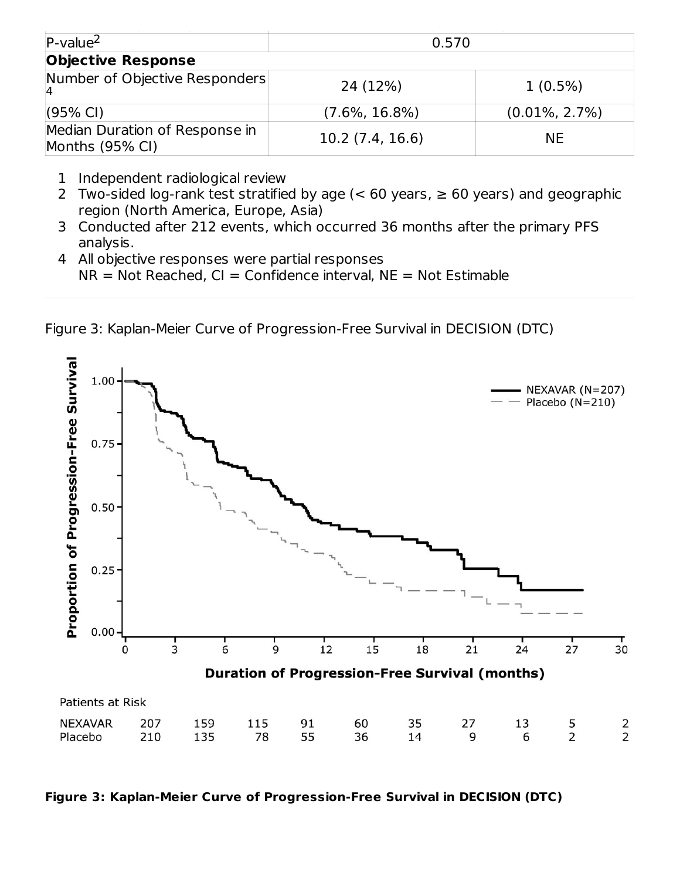| $P-value2$                                        | 0.570             |                   |  |  |  |
|---------------------------------------------------|-------------------|-------------------|--|--|--|
| <b>Objective Response</b>                         |                   |                   |  |  |  |
| Number of Objective Responders                    | 24 (12%)          | $1(0.5\%)$        |  |  |  |
| $(95% \text{ Cl})$                                | $(7.6\%, 16.8\%)$ | $(0.01\%, 2.7\%)$ |  |  |  |
| Median Duration of Response in<br>Months (95% CI) | 10.2(7.4, 16.6)   | <b>NE</b>         |  |  |  |

- 1 Independent radiological review
- 2 Two-sided log-rank test stratified by age (< 60 years, ≥ 60 years) and geographic region (North America, Europe, Asia)
- 3 Conducted after 212 events, which occurred 36 months after the primary PFS analysis.
- 4 All objective responses were partial responses  $NR = Not Reached, CI = Confidence interval, NE = Not Estimable$

Figure 3: Kaplan-Meier Curve of Progression-Free Survival in DECISION (DTC)



**Figure 3: Kaplan-Meier Curve of Progression-Free Survival in DECISION (DTC)**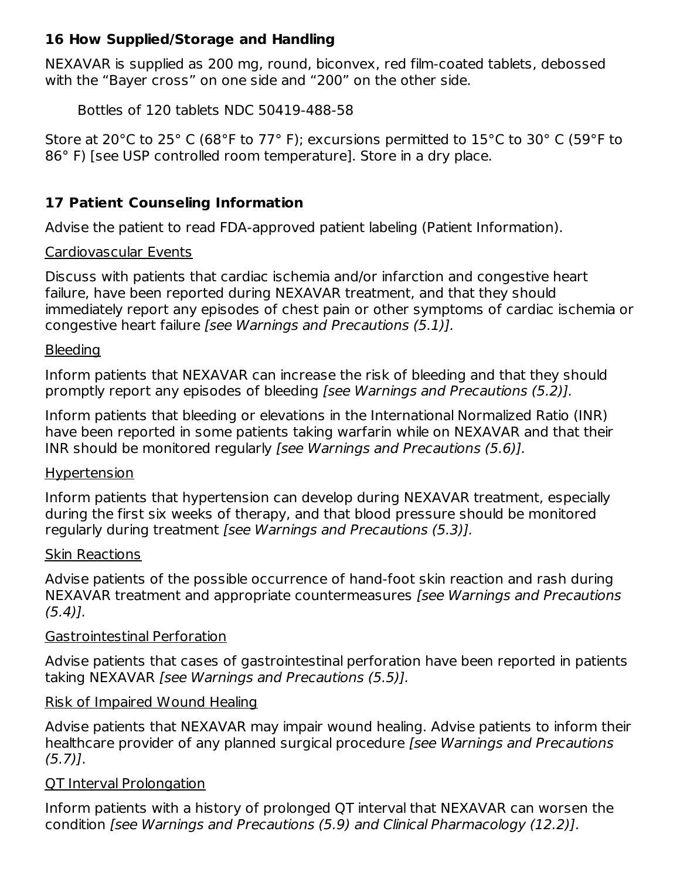## **16 How Supplied/Storage and Handling**

NEXAVAR is supplied as 200 mg, round, biconvex, red film-coated tablets, debossed with the "Bayer cross" on one side and "200" on the other side.

Bottles of 120 tablets NDC 50419-488-58

Store at 20°C to 25° C (68°F to 77° F); excursions permitted to 15°C to 30° C (59°F to 86° F) [see USP controlled room temperature]. Store in a dry place.

## **17 Patient Counseling Information**

Advise the patient to read FDA-approved patient labeling (Patient Information).

### Cardiovascular Events

Discuss with patients that cardiac ischemia and/or infarction and congestive heart failure, have been reported during NEXAVAR treatment, and that they should immediately report any episodes of chest pain or other symptoms of cardiac ischemia or congestive heart failure [see Warnings and Precautions (5.1)].

### **Bleeding**

Inform patients that NEXAVAR can increase the risk of bleeding and that they should promptly report any episodes of bleeding [see Warnings and Precautions (5.2)].

Inform patients that bleeding or elevations in the International Normalized Ratio (INR) have been reported in some patients taking warfarin while on NEXAVAR and that their INR should be monitored regularly [see Warnings and Precautions (5.6)].

### Hypertension

Inform patients that hypertension can develop during NEXAVAR treatment, especially during the first six weeks of therapy, and that blood pressure should be monitored regularly during treatment [see Warnings and Precautions (5.3)].

### Skin Reactions

Advise patients of the possible occurrence of hand-foot skin reaction and rash during NEXAVAR treatment and appropriate countermeasures [see Warnings and Precautions  $(5.4)$ .

### Gastrointestinal Perforation

Advise patients that cases of gastrointestinal perforation have been reported in patients taking NEXAVAR [see Warnings and Precautions (5.5)].

### Risk of Impaired Wound Healing

Advise patients that NEXAVAR may impair wound healing. Advise patients to inform their healthcare provider of any planned surgical procedure [see Warnings and Precautions  $(5.7)$ ].

### QT Interval Prolongation

Inform patients with a history of prolonged QT interval that NEXAVAR can worsen the condition [see Warnings and Precautions (5.9) and Clinical Pharmacology (12.2)].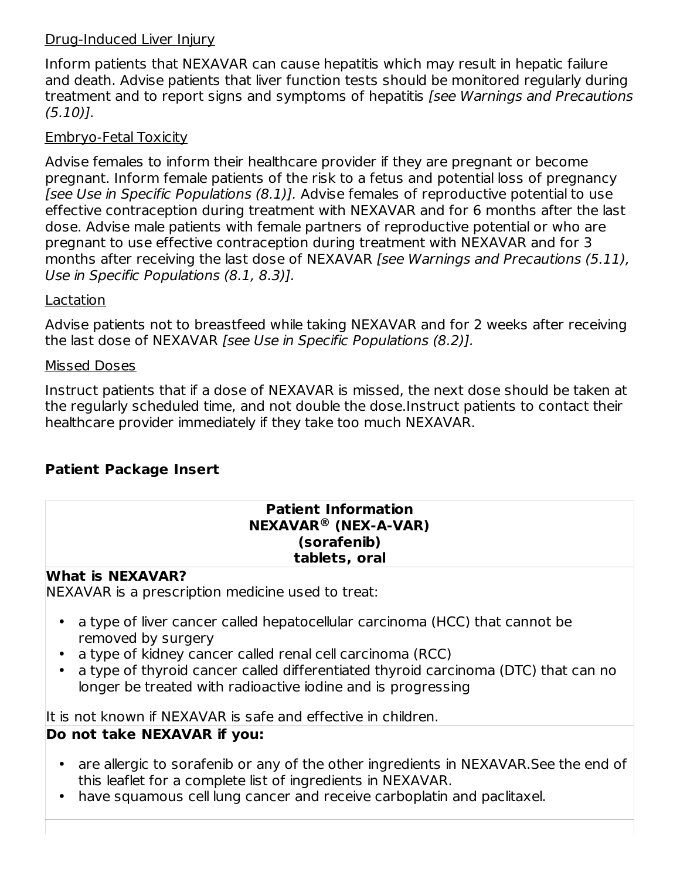### Drug-Induced Liver Injury

Inform patients that NEXAVAR can cause hepatitis which may result in hepatic failure and death. Advise patients that liver function tests should be monitored regularly during treatment and to report signs and symptoms of hepatitis [see Warnings and Precautions (5.10)].

## Embryo-Fetal Toxicity

Advise females to inform their healthcare provider if they are pregnant or become pregnant. Inform female patients of the risk to a fetus and potential loss of pregnancy [see Use in Specific Populations (8.1)]. Advise females of reproductive potential to use effective contraception during treatment with NEXAVAR and for 6 months after the last dose. Advise male patients with female partners of reproductive potential or who are pregnant to use effective contraception during treatment with NEXAVAR and for 3 months after receiving the last dose of NEXAVAR [see Warnings and Precautions (5.11), Use in Specific Populations (8.1, 8.3)].

### Lactation

Advise patients not to breastfeed while taking NEXAVAR and for 2 weeks after receiving the last dose of NEXAVAR [see Use in Specific Populations (8.2)].

### Missed Doses

Instruct patients that if a dose of NEXAVAR is missed, the next dose should be taken at the regularly scheduled time, and not double the dose.Instruct patients to contact their healthcare provider immediately if they take too much NEXAVAR.

## **Patient Package Insert**

#### **Patient Information NEXAVAR (NEX-A-VAR) ® (sorafenib) tablets, oral**

### **What is NEXAVAR?**

NEXAVAR is a prescription medicine used to treat:

- $\bullet$ a type of liver cancer called hepatocellular carcinoma (HCC) that cannot be removed by surgery
- a type of kidney cancer called renal cell carcinoma (RCC)
- a type of thyroid cancer called differentiated thyroid carcinoma (DTC) that can no longer be treated with radioactive iodine and is progressing

It is not known if NEXAVAR is safe and effective in children.

## **Do not take NEXAVAR if you:**

- are allergic to sorafenib or any of the other ingredients in NEXAVAR.See the end of this leaflet for a complete list of ingredients in NEXAVAR.
- have squamous cell lung cancer and receive carboplatin and paclitaxel.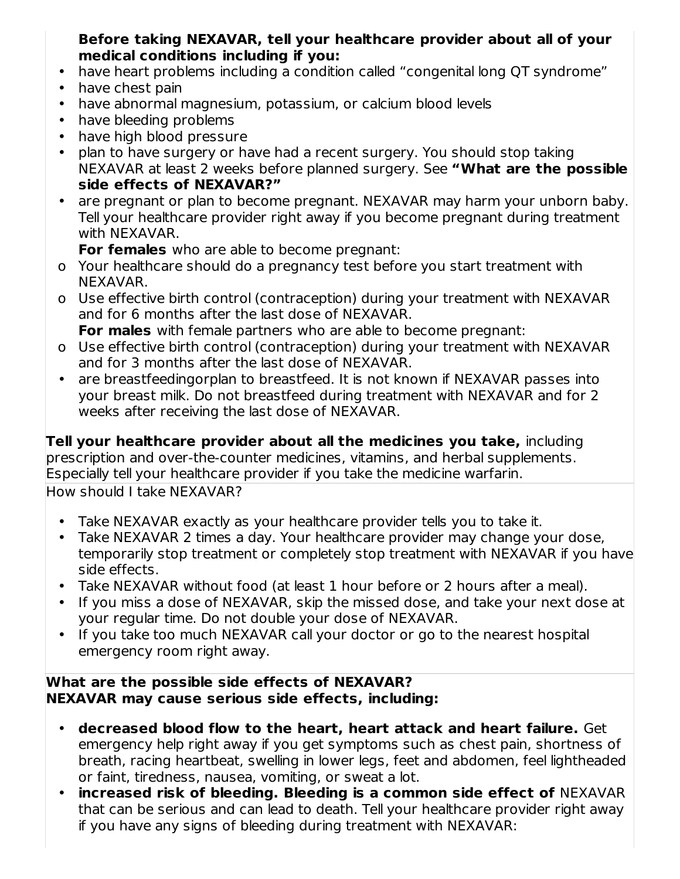## **Before taking NEXAVAR, tell your healthcare provider about all of your medical conditions including if you:**

- have heart problems including a condition called "congenital long QT syndrome"
- have chest pain
- have abnormal magnesium, potassium, or calcium blood levels
- have bleeding problems
- have high blood pressure
- plan to have surgery or have had a recent surgery. You should stop taking NEXAVAR at least 2 weeks before planned surgery. See **"What are the possible side effects of NEXAVAR?"**
- are pregnant or plan to become pregnant. NEXAVAR may harm your unborn baby. Tell your healthcare provider right away if you become pregnant during treatment with NEXAVAR.

**For females** who are able to become pregnant:

- o Your healthcare should do a pregnancy test before you start treatment with NEXAVAR.
- o Use effective birth control (contraception) during your treatment with NEXAVAR and for 6 months after the last dose of NEXAVAR. **For males** with female partners who are able to become pregnant:
- o Use effective birth control (contraception) during your treatment with NEXAVAR and for 3 months after the last dose of NEXAVAR.
- are breastfeedingorplan to breastfeed. It is not known if NEXAVAR passes into your breast milk. Do not breastfeed during treatment with NEXAVAR and for 2 weeks after receiving the last dose of NEXAVAR.

**Tell your healthcare provider about all the medicines you take,** including prescription and over-the-counter medicines, vitamins, and herbal supplements. Especially tell your healthcare provider if you take the medicine warfarin.

How should I take NEXAVAR?

- Take NEXAVAR exactly as your healthcare provider tells you to take it.
- Take NEXAVAR 2 times a day. Your healthcare provider may change your dose, temporarily stop treatment or completely stop treatment with NEXAVAR if you have side effects.
- Take NEXAVAR without food (at least 1 hour before or 2 hours after a meal).
- If you miss a dose of NEXAVAR, skip the missed dose, and take your next dose at your regular time. Do not double your dose of NEXAVAR.
- If you take too much NEXAVAR call your doctor or go to the nearest hospital emergency room right away.

### **What are the possible side effects of NEXAVAR? NEXAVAR may cause serious side effects, including:**

- **decreased blood flow to the heart, heart attack and heart failure.** Get emergency help right away if you get symptoms such as chest pain, shortness of breath, racing heartbeat, swelling in lower legs, feet and abdomen, feel lightheaded or faint, tiredness, nausea, vomiting, or sweat a lot.
- **increased risk of bleeding. Bleeding is a common side effect of** NEXAVAR that can be serious and can lead to death. Tell your healthcare provider right away if you have any signs of bleeding during treatment with NEXAVAR: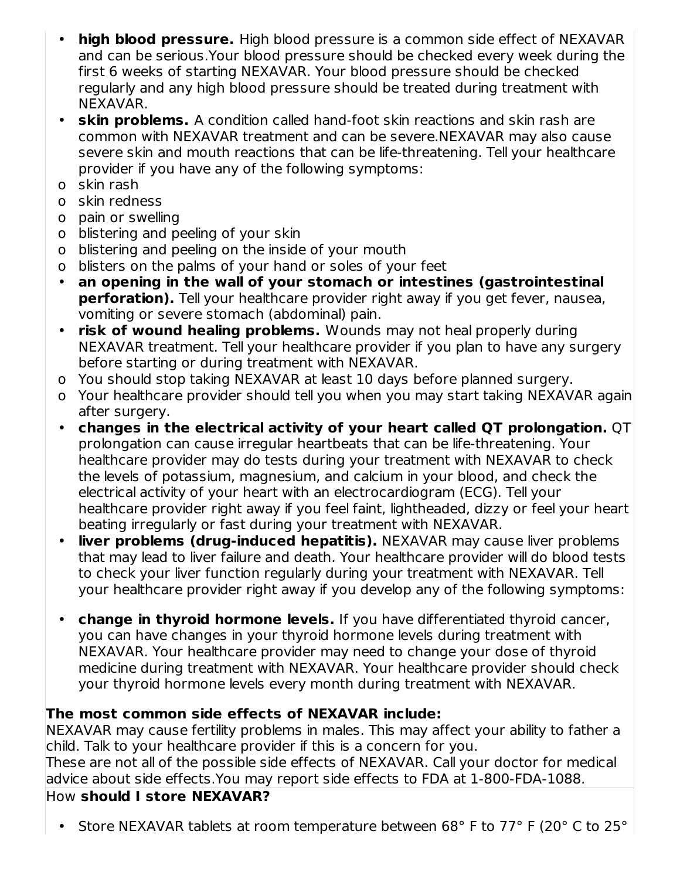- **high blood pressure.** High blood pressure is a common side effect of NEXAVAR and can be serious.Your blood pressure should be checked every week during the first 6 weeks of starting NEXAVAR. Your blood pressure should be checked regularly and any high blood pressure should be treated during treatment with NEXAVAR.
- **skin problems.** A condition called hand-foot skin reactions and skin rash are common with NEXAVAR treatment and can be severe.NEXAVAR may also cause severe skin and mouth reactions that can be life-threatening. Tell your healthcare provider if you have any of the following symptoms:
- o skin rash
- o skin redness
- o pain or swelling
- o blistering and peeling of your skin
- o blistering and peeling on the inside of your mouth
- o blisters on the palms of your hand or soles of your feet
- **an opening in the wall of your stomach or intestines (gastrointestinal perforation).** Tell your healthcare provider right away if you get fever, nausea, vomiting or severe stomach (abdominal) pain.
- **risk of wound healing problems.** Wounds may not heal properly during NEXAVAR treatment. Tell your healthcare provider if you plan to have any surgery before starting or during treatment with NEXAVAR.
- o You should stop taking NEXAVAR at least 10 days before planned surgery.
- o Your healthcare provider should tell you when you may start taking NEXAVAR again after surgery.
- **changes in the electrical activity of your heart called QT prolongation.** QT prolongation can cause irregular heartbeats that can be life-threatening. Your healthcare provider may do tests during your treatment with NEXAVAR to check the levels of potassium, magnesium, and calcium in your blood, and check the electrical activity of your heart with an electrocardiogram (ECG). Tell your healthcare provider right away if you feel faint, lightheaded, dizzy or feel your heart beating irregularly or fast during your treatment with NEXAVAR.
- **liver problems (drug-induced hepatitis).** NEXAVAR may cause liver problems that may lead to liver failure and death. Your healthcare provider will do blood tests to check your liver function regularly during your treatment with NEXAVAR. Tell your healthcare provider right away if you develop any of the following symptoms:
- **change in thyroid hormone levels.** If you have differentiated thyroid cancer, you can have changes in your thyroid hormone levels during treatment with NEXAVAR. Your healthcare provider may need to change your dose of thyroid medicine during treatment with NEXAVAR. Your healthcare provider should check your thyroid hormone levels every month during treatment with NEXAVAR.

# **The most common side effects of NEXAVAR include:**

NEXAVAR may cause fertility problems in males. This may affect your ability to father a child. Talk to your healthcare provider if this is a concern for you. These are not all of the possible side effects of NEXAVAR. Call your doctor for medical advice about side effects.You may report side effects to FDA at 1-800-FDA-1088.

# How **should I store NEXAVAR?**

• Store NEXAVAR tablets at room temperature between 68° F to 77° F (20° C to 25°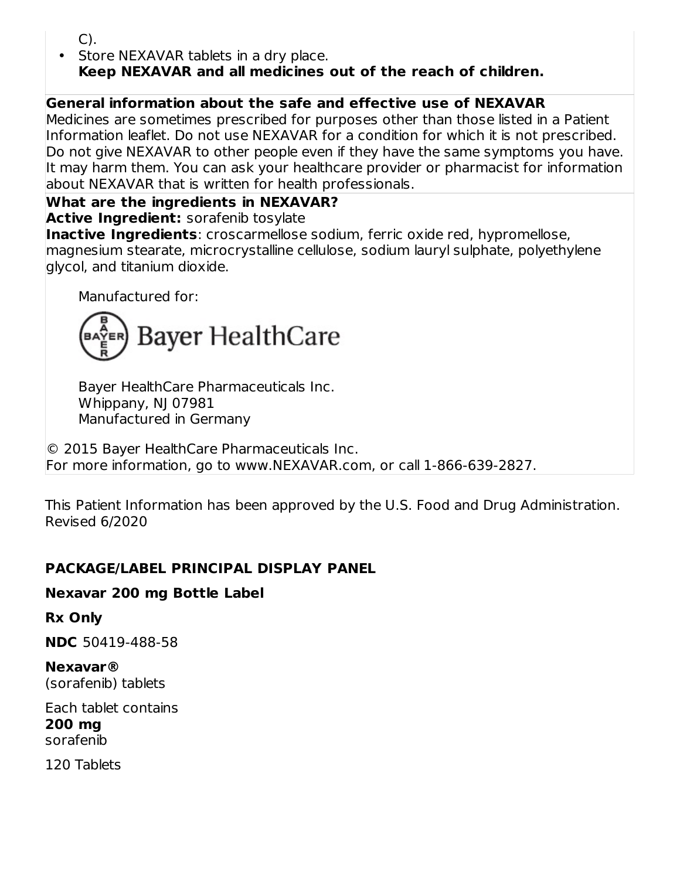C).

• Store NEXAVAR tablets in a dry place. **Keep NEXAVAR and all medicines out of the reach of children.**

## **General information about the safe and effective use of NEXAVAR**

Medicines are sometimes prescribed for purposes other than those listed in a Patient Information leaflet. Do not use NEXAVAR for a condition for which it is not prescribed. Do not give NEXAVAR to other people even if they have the same symptoms you have. It may harm them. You can ask your healthcare provider or pharmacist for information about NEXAVAR that is written for health professionals.

## **What are the ingredients in NEXAVAR?**

**Active Ingredient:** sorafenib tosylate

**Inactive Ingredients**: croscarmellose sodium, ferric oxide red, hypromellose, magnesium stearate, microcrystalline cellulose, sodium lauryl sulphate, polyethylene glycol, and titanium dioxide.

Manufactured for:



Bayer HealthCare Pharmaceuticals Inc. Whippany, NJ 07981 Manufactured in Germany

© 2015 Bayer HealthCare Pharmaceuticals Inc. For more information, go to www.NEXAVAR.com, or call 1-866-639-2827.

This Patient Information has been approved by the U.S. Food and Drug Administration. Revised 6/2020

### **PACKAGE/LABEL PRINCIPAL DISPLAY PANEL**

### **Nexavar 200 mg Bottle Label**

**Rx Only**

**NDC** 50419-488-58

**Nexavar®** (sorafenib) tablets

Each tablet contains **200 mg** sorafenib

120 Tablets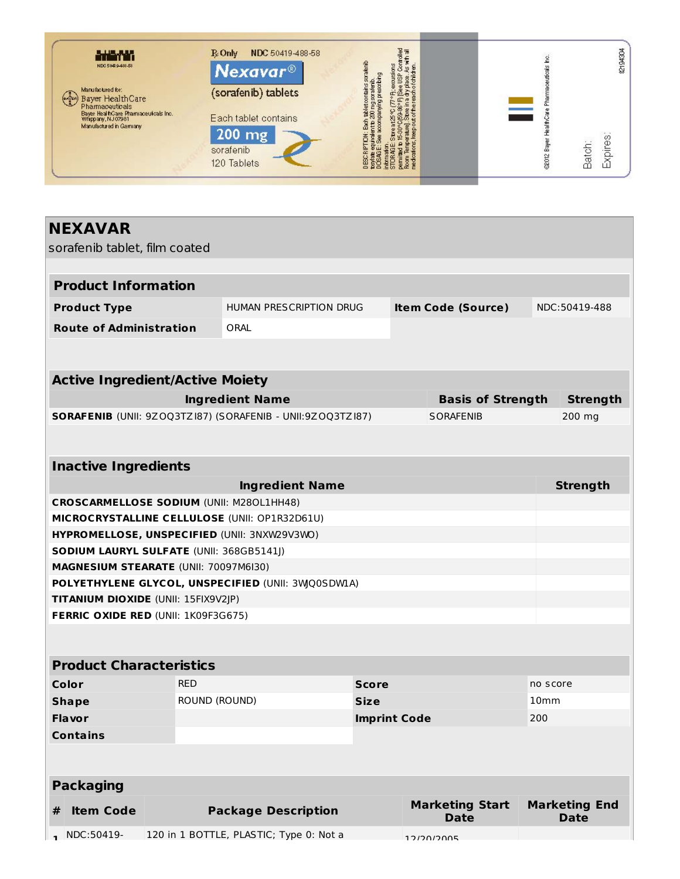

# **NEXAVAR**

sorafenib tablet, film coated

| <b>Product Information</b>     |                         |                           |               |
|--------------------------------|-------------------------|---------------------------|---------------|
| <b>Product Type</b>            | HUMAN PRESCRIPTION DRUG | <b>Item Code (Source)</b> | NDC:50419-488 |
| <b>Route of Administration</b> | ORAL                    |                           |               |
|                                |                         |                           |               |

| <b>Active Ingredient/Active Moiety</b>                            |                          |          |  |  |  |
|-------------------------------------------------------------------|--------------------------|----------|--|--|--|
| Ingredient Name                                                   | <b>Basis of Strength</b> | Strenath |  |  |  |
| <b>SORAFENIB</b> (UNII: 9ZOQ3TZI87) (SORAFENIB - UNII:9ZOQ3TZI87) | SORAFENIB                | 200 mg   |  |  |  |

| <b>Inactive Ingredients</b>                          |                 |
|------------------------------------------------------|-----------------|
| <b>Ingredient Name</b>                               | <b>Strength</b> |
| <b>CROSCARMELLOSE SODIUM (UNII: M280L1HH48)</b>      |                 |
| <b>MICROCRYSTALLINE CELLULOSE (UNII: OP1R32D61U)</b> |                 |
| HYPROMELLOSE, UNSPECIFIED (UNII: 3NXW29V3WO)         |                 |
| <b>SODIUM LAURYL SULFATE (UNII: 368GB5141I)</b>      |                 |
| <b>MAGNESIUM STEARATE (UNII: 70097M6I30)</b>         |                 |
| POLYETHYLENE GLYCOL, UNSPECIFIED (UNII: 3WO0SDWIA)   |                 |
| <b>TITANIUM DIOXIDE</b> (UNII: 15FIX9V2JP)           |                 |
| <b>FERRIC OXIDE RED (UNII: 1K09F3G675)</b>           |                 |

#### **Product Characteristics**

| Color           | <b>RED</b>    | <b>Score</b>        | no score         |
|-----------------|---------------|---------------------|------------------|
| <b>Shape</b>    | ROUND (ROUND) | <b>Size</b>         | 10 <sub>mm</sub> |
| <b>Flavor</b>   |               | <b>Imprint Code</b> | 200              |
| <b>Contains</b> |               |                     |                  |

| Packaging |                           |                                         |                                |                                     |
|-----------|---------------------------|-----------------------------------------|--------------------------------|-------------------------------------|
| #         | <b>Item Code</b>          | <b>Package Description</b>              | <b>Marketing Start</b><br>Date | <b>Marketing End</b><br><b>Date</b> |
|           | $\blacksquare$ NDC:50419- | 120 in 1 BOTTLE, PLASTIC; Type 0: Not a | 12/20/2005                     |                                     |